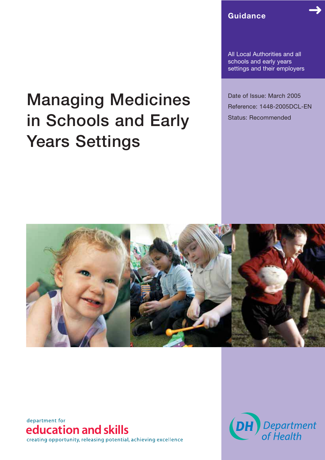**Guidance**

All Local Authorities and all schools and early years settings and their employers

Date of Issue: March 2005 Reference: 1448-2005DCL-EN Status: Recommended

# **Managing Medicines in Schools and Early Years Settings**



department for education and skills creating opportunity, releasing potential, achieving excellence

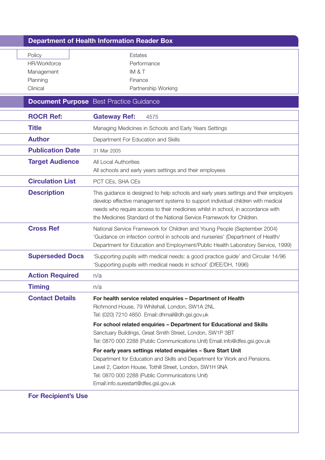|                                                              | <b>Department of Health Information Reader Box</b>                                                                                                                                                                                                                                                                                                                              |
|--------------------------------------------------------------|---------------------------------------------------------------------------------------------------------------------------------------------------------------------------------------------------------------------------------------------------------------------------------------------------------------------------------------------------------------------------------|
| Policy<br>HR/Workforce<br>Management<br>Planning<br>Clinical | Estates<br>Performance<br>IM & T<br>Finance<br>Partnership Working                                                                                                                                                                                                                                                                                                              |
|                                                              | <b>Document Purpose</b> Best Practice Guidance                                                                                                                                                                                                                                                                                                                                  |
| <b>ROCR Ref:</b>                                             | <b>Gateway Ref:</b><br>4575                                                                                                                                                                                                                                                                                                                                                     |
| <b>Title</b>                                                 | Managing Medicines in Schools and Early Years Settings                                                                                                                                                                                                                                                                                                                          |
| <b>Author</b>                                                | Department For Education and Skills                                                                                                                                                                                                                                                                                                                                             |
| <b>Publication Date</b>                                      | 31 Mar 2005                                                                                                                                                                                                                                                                                                                                                                     |
| <b>Target Audience</b>                                       | All Local Authorities<br>All schools and early years settings and their employees                                                                                                                                                                                                                                                                                               |
| <b>Circulation List</b>                                      | PCT CEs, SHA CEs                                                                                                                                                                                                                                                                                                                                                                |
| <b>Description</b>                                           | This guidance is designed to help schools and early years settings and their employers<br>develop effective management systems to support individual children with medical<br>needs who require access to their medicines whilst in school, in accordance with<br>the Medicines Standard of the National Service Framework for Children.                                        |
| <b>Cross Ref</b>                                             | National Service Framework for Children and Young People (September 2004)<br>'Guidance on infection control in schools and nurseries' (Department of Health/<br>Department for Education and Employment/Public Health Laboratory Service, 1999)                                                                                                                                 |
| <b>Superseded Docs</b>                                       | 'Supporting pupils with medical needs: a good practice guide' and Circular 14/96<br>'Supporting pupils with medical needs in school' (DfEE/DH, 1996)                                                                                                                                                                                                                            |
| <b>Action Required</b>                                       | n/a                                                                                                                                                                                                                                                                                                                                                                             |
| <b>Timing</b>                                                | n/a                                                                                                                                                                                                                                                                                                                                                                             |
| <b>Contact Details</b>                                       | For health service related enquiries - Department of Health<br>Richmond House, 79 Whitehall, London, SW1A 2NL<br>Tel: (020) 7210 4850 Email: dhmail@dh.gsi.gov.uk<br>For school related enquiries - Department for Educational and Skills<br>Sanctuary Buildings, Great Smith Street, London, SW1P 3BT                                                                          |
|                                                              | Tel: 0870 000 2288 (Public Communications Unit) Email: info@dfes.gsi.gov.uk<br>For early years settings related enquiries - Sure Start Unit<br>Department for Education and Skills and Department for Work and Pensions.<br>Level 2, Caxton House, Tothill Street, London, SW1H 9NA<br>Tel: 0870 000 2288 (Public Communications Unit)<br>Email: info.surestart@dfes.gsi.gov.uk |

**For Recipient's Use**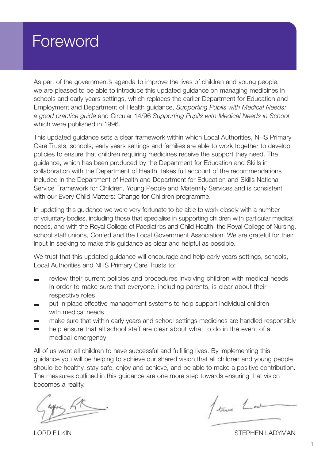# Foreword

As part of the government's agenda to improve the lives of children and young people, we are pleased to be able to introduce this updated guidance on managing medicines in schools and early years settings, which replaces the earlier Department for Education and Employment and Department of Health guidance, *Supporting Pupils with Medical Needs: a good practice guide* and Circular 14/96 *Supporting Pupils with Medical Needs in School*, which were published in 1996.

This updated guidance sets a clear framework within which Local Authorities, NHS Primary Care Trusts, schools, early years settings and families are able to work together to develop policies to ensure that children requiring medicines receive the support they need. The guidance, which has been produced by the Department for Education and Skills in collaboration with the Department of Health, takes full account of the recommendations included in the Department of Health and Department for Education and Skills National Service Framework for Children, Young People and Maternity Services and is consistent with our Every Child Matters: Change for Children programme.

In updating this guidance we were very fortunate to be able to work closely with a number of voluntary bodies, including those that specialise in supporting children with particular medical needs, and with the Royal College of Paediatrics and Child Health, the Royal College of Nursing, school staff unions, Confed and the Local Government Association. We are grateful for their input in seeking to make this guidance as clear and helpful as possible.

We trust that this updated guidance will encourage and help early years settings, schools, Local Authorities and NHS Primary Care Trusts to:

- review their current policies and procedures involving children with medical needs in order to make sure that everyone, including parents, is clear about their respective roles
- put in place effective management systems to help support individual children with medical needs
- make sure that within early years and school settings medicines are handled responsibly
- help ensure that all school staff are clear about what to do in the event of a  $\overline{\phantom{0}}$ medical emergency

All of us want all children to have successful and fulfilling lives. By implementing this guidance you will be helping to achieve our shared vision that all children and young people should be healthy, stay safe, enjoy and achieve, and be able to make a positive contribution. The measures outlined in this guidance are one more step towards ensuring that vision becomes a reality.

Stre Lat

LORD FILKIN STEPHEN LADYMAN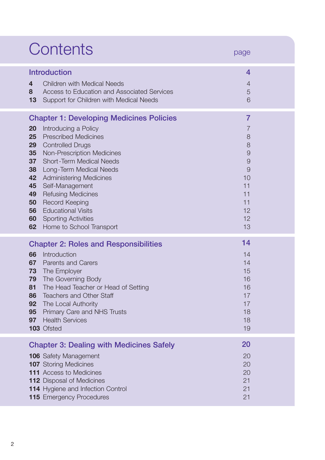|                                                                            | Contents                                                                                                                                                                                                                                                                                                                                                                                                                        | page                                                                                                              |
|----------------------------------------------------------------------------|---------------------------------------------------------------------------------------------------------------------------------------------------------------------------------------------------------------------------------------------------------------------------------------------------------------------------------------------------------------------------------------------------------------------------------|-------------------------------------------------------------------------------------------------------------------|
| 4<br>8<br>13                                                               | <b>Introduction</b><br><b>Children with Medical Needs</b><br>Access to Education and Associated Services<br>Support for Children with Medical Needs                                                                                                                                                                                                                                                                             | 4<br>$\overline{4}$<br>5<br>6                                                                                     |
| 20<br>25<br>29<br>35<br>37<br>38<br>42<br>45<br>49<br>50<br>56<br>60<br>62 | <b>Chapter 1: Developing Medicines Policies</b><br>Introducing a Policy<br><b>Prescribed Medicines</b><br><b>Controlled Drugs</b><br>Non-Prescription Medicines<br><b>Short-Term Medical Needs</b><br>Long-Term Medical Needs<br><b>Administering Medicines</b><br>Self-Management<br><b>Refusing Medicines</b><br><b>Record Keeping</b><br><b>Educational Visits</b><br><b>Sporting Activities</b><br>Home to School Transport | $\overline{7}$<br>$\overline{7}$<br>8<br>8<br>$\Theta$<br>$\Theta$<br>9<br>10<br>11<br>11<br>11<br>12<br>12<br>13 |
| 66<br>67<br>73<br>79<br>81<br>86<br>92<br>95<br>97                         | <b>Chapter 2: Roles and Responsibilities</b><br>Introduction<br><b>Parents and Carers</b><br>The Employer<br>The Governing Body<br>The Head Teacher or Head of Setting<br><b>Teachers and Other Staff</b><br>The Local Authority<br>Primary Care and NHS Trusts<br><b>Health Services</b><br>103 Ofsted                                                                                                                         | 14<br>14<br>14<br>15<br>16<br>16<br>17<br>17<br>18<br>18<br>19                                                    |
|                                                                            | <b>Chapter 3: Dealing with Medicines Safely</b><br><b>106</b> Safety Management<br><b>107</b> Storing Medicines<br><b>111</b> Access to Medicines<br><b>112</b> Disposal of Medicines<br><b>114</b> Hygiene and Infection Control<br>115 Emergency Procedures                                                                                                                                                                   | 20<br>20<br>20<br>20<br>21<br>21<br>21                                                                            |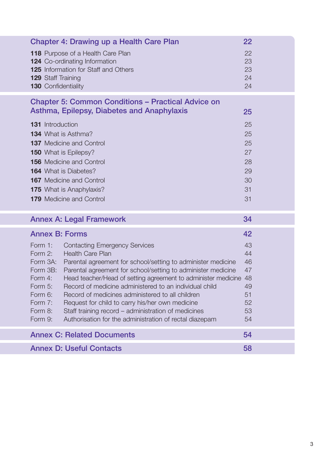| <b>Chapter 4: Drawing up a Health Care Plan</b><br>118 Purpose of a Health Care Plan<br><b>124</b> Co-ordinating Information<br><b>125</b> Information for Staff and Others<br>129 Staff Training<br><b>130 Confidentiality</b>                                                                                                                                                                                                                                                                                                                                                                                                                                                                 | 22<br>22<br>23<br>23<br>24<br>24                         |
|-------------------------------------------------------------------------------------------------------------------------------------------------------------------------------------------------------------------------------------------------------------------------------------------------------------------------------------------------------------------------------------------------------------------------------------------------------------------------------------------------------------------------------------------------------------------------------------------------------------------------------------------------------------------------------------------------|----------------------------------------------------------|
| <b>Chapter 5: Common Conditions - Practical Advice on</b><br>Asthma, Epilepsy, Diabetes and Anaphylaxis<br><b>131</b> Introduction<br><b>134</b> What is Asthma?<br><b>137</b> Medicine and Control<br><b>150</b> What is Epilepsy?<br><b>156</b> Medicine and Control<br><b>164</b> What is Diabetes?<br><b>167</b> Medicine and Control<br><b>175</b> What is Anaphylaxis?<br><b>179</b> Medicine and Control                                                                                                                                                                                                                                                                                 | 25<br>25<br>25<br>25<br>27<br>28<br>29<br>30<br>31<br>31 |
| <b>Annex A: Legal Framework</b>                                                                                                                                                                                                                                                                                                                                                                                                                                                                                                                                                                                                                                                                 | 34                                                       |
| <b>Annex B: Forms</b><br>Form 1:<br><b>Contacting Emergency Services</b><br><b>Health Care Plan</b><br>Form 2:<br>Form 3A:<br>Parental agreement for school/setting to administer medicine<br>Parental agreement for school/setting to administer medicine<br>Form 3B:<br>Head teacher/Head of setting agreement to administer medicine 48<br>Form 4:<br>Record of medicine administered to an individual child<br>Form 5:<br>Form 6:<br>Record of medicines administered to all children<br>Form 7:<br>Request for child to carry his/her own medicine<br>Staff training record – administration of medicines<br>Form 8:<br>Form 9:<br>Authorisation for the administration of rectal diazepam | 42<br>43<br>44<br>46<br>47<br>49<br>51<br>52<br>53<br>54 |
| <b>Annex C: Related Documents</b>                                                                                                                                                                                                                                                                                                                                                                                                                                                                                                                                                                                                                                                               | 54                                                       |
| <b>Annex D: Useful Contacts</b>                                                                                                                                                                                                                                                                                                                                                                                                                                                                                                                                                                                                                                                                 | 58                                                       |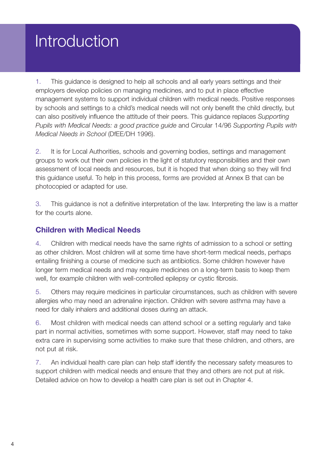# Introduction

1. This guidance is designed to help all schools and all early years settings and their employers develop policies on managing medicines, and to put in place effective management systems to support individual children with medical needs. Positive responses by schools and settings to a child's medical needs will not only benefit the child directly, but can also positively influence the attitude of their peers. This guidance replaces *Supporting Pupils with Medical Needs: a good practice guide* and Circular 14/96 *Supporting Pupils with Medical Needs in School* (DfEE/DH 1996).

2. It is for Local Authorities, schools and governing bodies, settings and management groups to work out their own policies in the light of statutory responsibilities and their own assessment of local needs and resources, but it is hoped that when doing so they will find this guidance useful. To help in this process, forms are provided at Annex B that can be photocopied or adapted for use.

3. This guidance is not a definitive interpretation of the law. Interpreting the law is a matter for the courts alone.

## **Children with Medical Needs**

4. Children with medical needs have the same rights of admission to a school or setting as other children. Most children will at some time have short-term medical needs, perhaps entailing finishing a course of medicine such as antibiotics. Some children however have longer term medical needs and may require medicines on a long-term basis to keep them well, for example children with well-controlled epilepsy or cystic fibrosis.

5. Others may require medicines in particular circumstances, such as children with severe allergies who may need an adrenaline injection. Children with severe asthma may have a need for daily inhalers and additional doses during an attack.

6. Most children with medical needs can attend school or a setting regularly and take part in normal activities, sometimes with some support. However, staff may need to take extra care in supervising some activities to make sure that these children, and others, are not put at risk.

7. An individual health care plan can help staff identify the necessary safety measures to support children with medical needs and ensure that they and others are not put at risk. Detailed advice on how to develop a health care plan is set out in Chapter 4.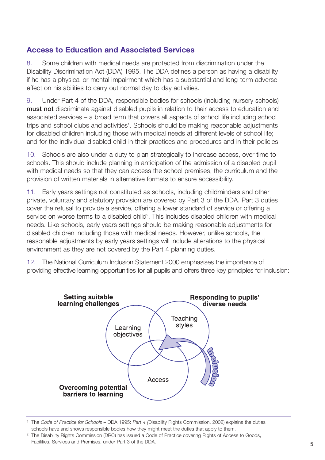# **Access to Education and Associated Services**

8. Some children with medical needs are protected from discrimination under the Disability Discrimination Act (DDA) 1995. The DDA defines a person as having a disability if he has a physical or mental impairment which has a substantial and long-term adverse effect on his abilities to carry out normal day to day activities.

9. Under Part 4 of the DDA, responsible bodies for schools (including nursery schools) **must not** discriminate against disabled pupils in relation to their access to education and associated services – a broad term that covers all aspects of school life including school trips and school clubs and activities<sup>1</sup>. Schools should be making reasonable adjustments for disabled children including those with medical needs at different levels of school life; and for the individual disabled child in their practices and procedures and in their policies.

10. Schools are also under a duty to plan strategically to increase access, over time to schools. This should include planning in anticipation of the admission of a disabled pupil with medical needs so that they can access the school premises, the curriculum and the provision of written materials in alternative formats to ensure accessibility.

11. Early years settings not constituted as schools, including childminders and other private, voluntary and statutory provision are covered by Part 3 of the DDA. Part 3 duties cover the refusal to provide a service, offering a lower standard of service or offering a service on worse terms to a disabled child<sup>2</sup>. This includes disabled children with medical needs. Like schools, early years settings should be making reasonable adjustments for disabled children including those with medical needs. However, unlike schools, the reasonable adjustments by early years settings will include alterations to the physical environment as they are not covered by the Part 4 planning duties.

12. The National Curriculum Inclusion Statement 2000 emphasises the importance of providing effective learning opportunities for all pupils and offers three key principles for inclusion:



<sup>1</sup> The *Code of Practice for Schools –* DDA 1995: *Part 4 (*Disability Rights Commission, 2002) explains the duties schools have and shows responsible bodies how they might meet the duties that apply to them.

<sup>2</sup> The Disability Rights Commission (DRC) has issued a Code of Practice covering Rights of Access to Goods,

Facilities, Services and Premises, under Part 3 of the DDA. 5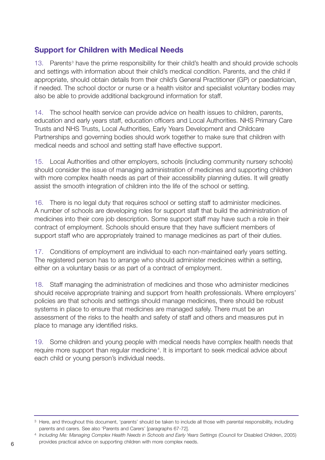# **Support for Children with Medical Needs**

13. Parents<sup>3</sup> have the prime responsibility for their child's health and should provide schools and settings with information about their child's medical condition. Parents, and the child if appropriate, should obtain details from their child's General Practitioner (GP) or paediatrician, if needed. The school doctor or nurse or a health visitor and specialist voluntary bodies may also be able to provide additional background information for staff.

14. The school health service can provide advice on health issues to children, parents, education and early years staff, education officers and Local Authorities. NHS Primary Care Trusts and NHS Trusts, Local Authorities, Early Years Development and Childcare Partnerships and governing bodies should work together to make sure that children with medical needs and school and setting staff have effective support.

15. Local Authorities and other employers, schools (including community nursery schools) should consider the issue of managing administration of medicines and supporting children with more complex health needs as part of their accessibility planning duties. It will greatly assist the smooth integration of children into the life of the school or setting.

16. There is no legal duty that requires school or setting staff to administer medicines. A number of schools are developing roles for support staff that build the administration of medicines into their core job description. Some support staff may have such a role in their contract of employment. Schools should ensure that they have sufficient members of support staff who are appropriately trained to manage medicines as part of their duties.

17. Conditions of employment are individual to each non-maintained early years setting. The registered person has to arrange who should administer medicines within a setting, either on a voluntary basis or as part of a contract of employment.

18. Staff managing the administration of medicines and those who administer medicines should receive appropriate training and support from health professionals. Where employers' policies are that schools and settings should manage medicines, there should be robust systems in place to ensure that medicines are managed safely. There must be an assessment of the risks to the health and safety of staff and others and measures put in place to manage any identified risks.

19. Some children and young people with medical needs have complex health needs that require more support than regular medicine<sup>4</sup>. It is important to seek medical advice about each child or young person's individual needs.

<sup>&</sup>lt;sup>3</sup> Here, and throughout this document, 'parents' should be taken to include all those with parental responsibility, including parents and carers. See also 'Parents and Carers' [paragraphs 67-72].

<sup>4</sup> *Including Me: Managing Complex Health Needs in Schools and Early Years Settings* (Council for Disabled Children, 2005) provides practical advice on supporting children with more complex needs. 6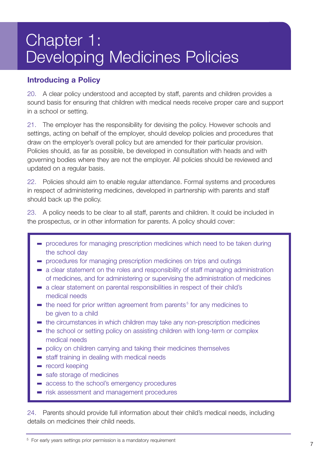# Chapter 1: Developing Medicines Policies

# **Introducing a Policy**

20. A clear policy understood and accepted by staff, parents and children provides a sound basis for ensuring that children with medical needs receive proper care and support in a school or setting.

21. The employer has the responsibility for devising the policy. However schools and settings, acting on behalf of the employer, should develop policies and procedures that draw on the employer's overall policy but are amended for their particular provision. Policies should, as far as possible, be developed in consultation with heads and with governing bodies where they are not the employer. All policies should be reviewed and updated on a regular basis.

22. Policies should aim to enable regular attendance. Formal systems and procedures in respect of administering medicines, developed in partnership with parents and staff should back up the policy.

23. A policy needs to be clear to all staff, parents and children. It could be included in the prospectus, or in other information for parents. A policy should cover:

- procedures for managing prescription medicines which need to be taken during the school day
- procedures for managing prescription medicines on trips and outings
- a clear statement on the roles and responsibility of staff managing administration of medicines, and for administering or supervising the administration of medicines
- a clear statement on parental responsibilities in respect of their child's medical needs
- $\blacksquare$  the need for prior written agreement from parents<sup>5</sup> for any medicines to be given to a child
- the circumstances in which children may take any non-prescription medicines
- the school or setting policy on assisting children with long-term or complex medical needs
- policy on children carrying and taking their medicines themselves
- staff training in dealing with medical needs
- **record keeping**
- safe storage of medicines
- access to the school's emergency procedures
- risk assessment and management procedures

24. Parents should provide full information about their child's medical needs, including details on medicines their child needs.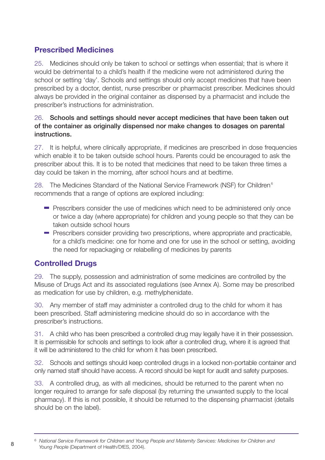# **Prescribed Medicines**

25. Medicines should only be taken to school or settings when essential; that is where it would be detrimental to a child's health if the medicine were not administered during the school or setting 'day'. Schools and settings should only accept medicines that have been prescribed by a doctor, dentist, nurse prescriber or pharmacist prescriber. Medicines should always be provided in the original container as dispensed by a pharmacist and include the prescriber's instructions for administration.

#### 26. **Schools and settings should never accept medicines that have been taken out of the container as originally dispensed nor make changes to dosages on parental instructions.**

27. It is helpful, where clinically appropriate, if medicines are prescribed in dose frequencies which enable it to be taken outside school hours. Parents could be encouraged to ask the prescriber about this. It is to be noted that medicines that need to be taken three times a day could be taken in the morning, after school hours and at bedtime.

28. The Medicines Standard of the National Service Framework (NSF) for Children $<sup>6</sup>$ </sup> recommends that a range of options are explored including:

- Prescribers consider the use of medicines which need to be administered only once or twice a day (where appropriate) for children and young people so that they can be taken outside school hours
- **Prescribers consider providing two prescriptions, where appropriate and practicable,** for a child's medicine: one for home and one for use in the school or setting, avoiding the need for repackaging or relabelling of medicines by parents

# **Controlled Drugs**

29. The supply, possession and administration of some medicines are controlled by the Misuse of Drugs Act and its associated regulations (see Annex A). Some may be prescribed as medication for use by children, e.g. methylphenidate.

30. Any member of staff may administer a controlled drug to the child for whom it has been prescribed. Staff administering medicine should do so in accordance with the prescriber's instructions.

31. A child who has been prescribed a controlled drug may legally have it in their possession. It is permissible for schools and settings to look after a controlled drug, where it is agreed that it will be administered to the child for whom it has been prescribed.

32. Schools and settings should keep controlled drugs in a locked non-portable container and only named staff should have access. A record should be kept for audit and safety purposes.

33. A controlled drug, as with all medicines, should be returned to the parent when no longer required to arrange for safe disposal (by returning the unwanted supply to the local pharmacy). If this is not possible, it should be returned to the dispensing pharmacist (details should be on the label).

<sup>6</sup> *National Service Framework for Children and Young People and Maternity Services: Medicines for Children and Young People* (Department of Health/DfES, 2004). <sup>8</sup>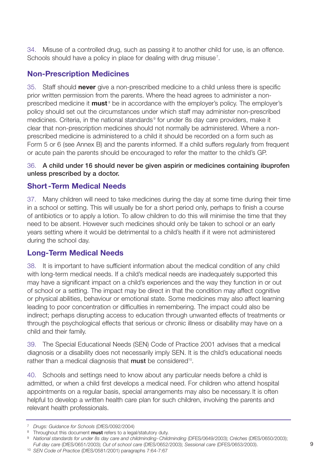34. Misuse of a controlled drug, such as passing it to another child for use, is an offence. Schools should have a policy in place for dealing with drug misuse<sup>7</sup>.

# **Non-Prescription Medicines**

35. Staff should **never** give a non-prescribed medicine to a child unless there is specific prior written permission from the parents. Where the head agrees to administer a nonprescribed medicine it **must**<sup>8</sup> be in accordance with the employer's policy. The employer's policy should set out the circumstances under which staff may administer non-prescribed medicines. Criteria, in the national standards<sup>9</sup> for under 8s day care providers, make it clear that non-prescription medicines should not normally be administered. Where a nonprescribed medicine is administered to a child it should be recorded on a form such as Form 5 or 6 (see Annex B) and the parents informed. If a child suffers regularly from frequent or acute pain the parents should be encouraged to refer the matter to the child's GP.

#### 36. **A child under 16 should never be given aspirin or medicines containing ibuprofen unless prescribed by a doctor.**

## **Short-Term Medical Needs**

37. Many children will need to take medicines during the day at some time during their time in a school or setting. This will usually be for a short period only, perhaps to finish a course of antibiotics or to apply a lotion. To allow children to do this will minimise the time that they need to be absent. However such medicines should only be taken to school or an early years setting where it would be detrimental to a child's health if it were not administered during the school day.

# **Long-Term Medical Needs**

38. It is important to have sufficient information about the medical condition of any child with long-term medical needs. If a child's medical needs are inadequately supported this may have a significant impact on a child's experiences and the way they function in or out of school or a setting. The impact may be direct in that the condition may affect cognitive or physical abilities, behaviour or emotional state. Some medicines may also affect learning leading to poor concentration or difficulties in remembering. The impact could also be indirect; perhaps disrupting access to education through unwanted effects of treatments or through the psychological effects that serious or chronic illness or disability may have on a child and their family.

39. The Special Educational Needs (SEN) Code of Practice 2001 advises that a medical diagnosis or a disability does not necessarily imply SEN. It is the child's educational needs rather than a medical diagnosis that **must** be considered<sup>10</sup>.

40. Schools and settings need to know about any particular needs before a child is admitted, or when a child first develops a medical need. For children who attend hospital appointments on a regular basis, special arrangements may also be necessary. It is often helpful to develop a written health care plan for such children, involving the parents and relevant health professionals.

<sup>9</sup> *National standards for under 8s day care and childminding-Childminding* (DFES/0649/2003); *Créches* (DfES/0650/2003); *Full day care* (DfES/0651/2003); *Out of school care* (DfES/0652/2003); *Sessional care* (DFES/0653/2003).

<sup>10</sup> *SEN Code of Practice* (DfES/0581/2001) paragraphs 7:64-7:67

<sup>7</sup> *Drugs: Guidance for Schools* (DfES/0092/2004)

<sup>8</sup> Throughout this document **must** refers to a legal/statutory duty.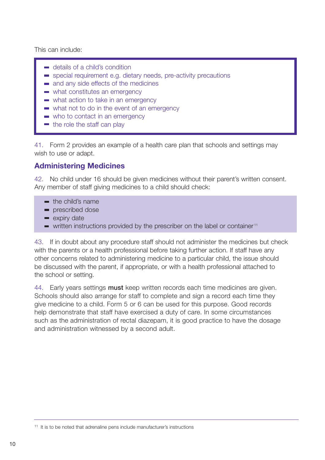This can include:

- **details of a child's condition**
- special requirement e.g. dietary needs, pre-activity precautions
- and any side effects of the medicines
- what constitutes an emergency
- what action to take in an emergency
- what not to do in the event of an emergency
- who to contact in an emergency
- $\blacksquare$  the role the staff can play

41. Form 2 provides an example of a health care plan that schools and settings may wish to use or adapt.

#### **Administering Medicines**

42. No child under 16 should be given medicines without their parent's written consent. Any member of staff giving medicines to a child should check:

- the child's name
- **prescribed dose**
- **expiry date**
- $\blacksquare$  written instructions provided by the prescriber on the label or container<sup>11</sup>

43. If in doubt about any procedure staff should not administer the medicines but check with the parents or a health professional before taking further action. If staff have any other concerns related to administering medicine to a particular child, the issue should be discussed with the parent, if appropriate, or with a health professional attached to the school or setting.

44. Early years settings **must** keep written records each time medicines are given. Schools should also arrange for staff to complete and sign a record each time they give medicine to a child. Form 5 or 6 can be used for this purpose. Good records help demonstrate that staff have exercised a duty of care. In some circumstances such as the administration of rectal diazepam, it is good practice to have the dosage and administration witnessed by a second adult.

<sup>11</sup> It is to be noted that adrenaline pens include manufacturer's instructions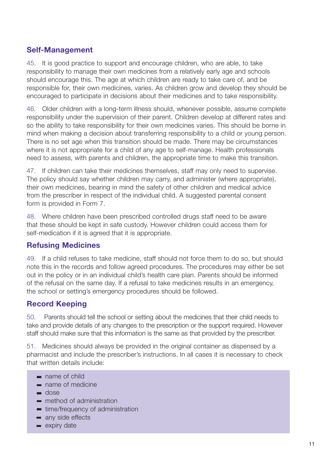# **Self-Management**

45. It is good practice to support and encourage children, who are able, to take responsibility to manage their own medicines from a relatively early age and schools should encourage this. The age at which children are ready to take care of, and be responsible for, their own medicines, varies. As children grow and develop they should be encouraged to participate in decisions about their medicines and to take responsibility.

46. Older children with a long-term illness should, whenever possible, assume complete responsibility under the supervision of their parent. Children develop at different rates and so the ability to take responsibility for their own medicines varies. This should be borne in mind when making a decision about transferring responsibility to a child or young person. There is no set age when this transition should be made. There may be circumstances where it is not appropriate for a child of any age to self-manage. Health professionals need to assess, with parents and children, the appropriate time to make this transition.

47. If children can take their medicines themselves, staff may only need to supervise. The policy should say whether children may carry, and administer (where appropriate), their own medicines, bearing in mind the safety of other children and medical advice from the prescriber in respect of the individual child. A suggested parental consent form is provided in Form 7.

48. Where children have been prescribed controlled drugs staff need to be aware that these should be kept in safe custody. However children could access them for self-medication if it is agreed that it is appropriate.

## **Refusing Medicines**

49. If a child refuses to take medicine, staff should not force them to do so, but should note this in the records and follow agreed procedures. The procedures may either be set out in the policy or in an individual child's health care plan. Parents should be informed of the refusal on the same day. If a refusal to take medicines results in an emergency, the school or setting's emergency procedures should be followed.

# **Record Keeping**

50. Parents should tell the school or setting about the medicines that their child needs to take and provide details of any changes to the prescription or the support required. However staff should make sure that this information is the same as that provided by the prescriber.

51. Medicines should always be provided in the original container as dispensed by a pharmacist and include the prescriber's instructions. In all cases it is necessary to check that written details include:

- name of child
- name of medicine
- od dose
- method of administration
- **time/frequency of administration**
- any side effects
- **expiry date**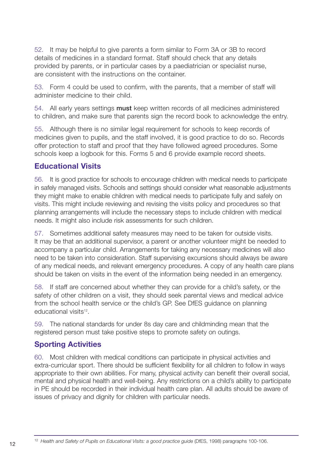52. It may be helpful to give parents a form similar to Form 3A or 3B to record details of medicines in a standard format. Staff should check that any details provided by parents, or in particular cases by a paediatrician or specialist nurse, are consistent with the instructions on the container.

53. Form 4 could be used to confirm, with the parents, that a member of staff will administer medicine to their child.

54. All early years settings **must** keep written records of all medicines administered to children, and make sure that parents sign the record book to acknowledge the entry.

55. Although there is no similar legal requirement for schools to keep records of medicines given to pupils, and the staff involved, it is good practice to do so. Records offer protection to staff and proof that they have followed agreed procedures. Some schools keep a logbook for this. Forms 5 and 6 provide example record sheets.

## **Educational Visits**

56. It is good practice for schools to encourage children with medical needs to participate in safely managed visits. Schools and settings should consider what reasonable adjustments they might make to enable children with medical needs to participate fully and safely on visits. This might include reviewing and revising the visits policy and procedures so that planning arrangements will include the necessary steps to include children with medical needs. It might also include risk assessments for such children.

57. Sometimes additional safety measures may need to be taken for outside visits. It may be that an additional supervisor, a parent or another volunteer might be needed to accompany a particular child. Arrangements for taking any necessary medicines will also need to be taken into consideration. Staff supervising excursions should always be aware of any medical needs, and relevant emergency procedures. A copy of any health care plans should be taken on visits in the event of the information being needed in an emergency.

58. If staff are concerned about whether they can provide for a child's safety, or the safety of other children on a visit, they should seek parental views and medical advice from the school health service or the child's GP. See DfES guidance on planning educational visits<sup>12</sup>

59. The national standards for under 8s day care and childminding mean that the registered person must take positive steps to promote safety on outings.

## **Sporting Activities**

60. Most children with medical conditions can participate in physical activities and extra-curricular sport. There should be sufficient flexibility for all children to follow in ways appropriate to their own abilities. For many, physical activity can benefit their overall social, mental and physical health and well-being. Any restrictions on a child's ability to participate in PE should be recorded in their individual health care plan. All adults should be aware of issues of privacy and dignity for children with particular needs.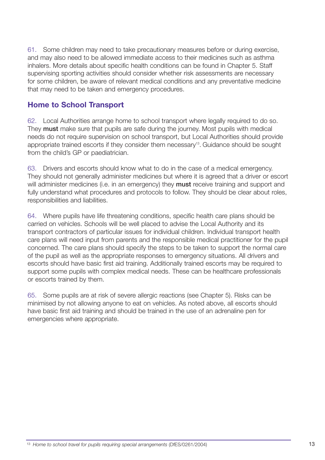61. Some children may need to take precautionary measures before or during exercise, and may also need to be allowed immediate access to their medicines such as asthma inhalers. More details about specific health conditions can be found in Chapter 5. Staff supervising sporting activities should consider whether risk assessments are necessary for some children, be aware of relevant medical conditions and any preventative medicine that may need to be taken and emergency procedures.

#### **Home to School Transport**

62. Local Authorities arrange home to school transport where legally required to do so. They **must** make sure that pupils are safe during the journey. Most pupils with medical needs do not require supervision on school transport, but Local Authorities should provide appropriate trained escorts if they consider them necessary<sup>13</sup>. Guidance should be sought from the child's GP or paediatrician.

63. Drivers and escorts should know what to do in the case of a medical emergency. They should not generally administer medicines but where it is agreed that a driver or escort will administer medicines (i.e. in an emergency) they **must** receive training and support and fully understand what procedures and protocols to follow. They should be clear about roles, responsibilities and liabilities.

64. Where pupils have life threatening conditions, specific health care plans should be carried on vehicles. Schools will be well placed to advise the Local Authority and its transport contractors of particular issues for individual children. Individual transport health care plans will need input from parents and the responsible medical practitioner for the pupil concerned. The care plans should specify the steps to be taken to support the normal care of the pupil as well as the appropriate responses to emergency situations. All drivers and escorts should have basic first aid training. Additionally trained escorts may be required to support some pupils with complex medical needs. These can be healthcare professionals or escorts trained by them.

65. Some pupils are at risk of severe allergic reactions (see Chapter 5). Risks can be minimised by not allowing anyone to eat on vehicles. As noted above, all escorts should have basic first aid training and should be trained in the use of an adrenaline pen for emergencies where appropriate.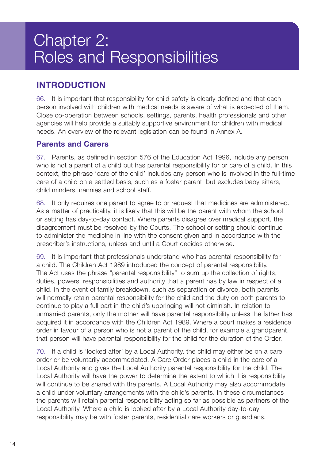# Chapter 2: Roles and Responsibilities

# **INTRODUCTION**

66. It is important that responsibility for child safety is clearly defined and that each person involved with children with medical needs is aware of what is expected of them. Close co-operation between schools, settings, parents, health professionals and other agencies will help provide a suitably supportive environment for children with medical needs. An overview of the relevant legislation can be found in Annex A.

## **Parents and Carers**

67. Parents, as defined in section 576 of the Education Act 1996, include any person who is not a parent of a child but has parental responsibility for or care of a child. In this context, the phrase 'care of the child' includes any person who is involved in the full-time care of a child on a settled basis, such as a foster parent, but excludes baby sitters, child minders, nannies and school staff.

68. It only requires one parent to agree to or request that medicines are administered. As a matter of practicality, it is likely that this will be the parent with whom the school or setting has day-to-day contact. Where parents disagree over medical support, the disagreement must be resolved by the Courts. The school or setting should continue to administer the medicine in line with the consent given and in accordance with the prescriber's instructions, unless and until a Court decides otherwise.

69. It is important that professionals understand who has parental responsibility for a child. The Children Act 1989 introduced the concept of parental responsibility. The Act uses the phrase "parental responsibility" to sum up the collection of rights, duties, powers, responsibilities and authority that a parent has by law in respect of a child. In the event of family breakdown, such as separation or divorce, both parents will normally retain parental responsibility for the child and the duty on both parents to continue to play a full part in the child's upbringing will not diminish. In relation to unmarried parents, only the mother will have parental responsibility unless the father has acquired it in accordance with the Children Act 1989. Where a court makes a residence order in favour of a person who is not a parent of the child, for example a grandparent, that person will have parental responsibility for the child for the duration of the Order.

70. If a child is 'looked after' by a Local Authority, the child may either be on a care order or be voluntarily accommodated. A Care Order places a child in the care of a Local Authority and gives the Local Authority parental responsibility for the child. The Local Authority will have the power to determine the extent to which this responsibility will continue to be shared with the parents. A Local Authority may also accommodate a child under voluntary arrangements with the child's parents. In these circumstances the parents will retain parental responsibility acting so far as possible as partners of the Local Authority. Where a child is looked after by a Local Authority day-to-day responsibility may be with foster parents, residential care workers or guardians.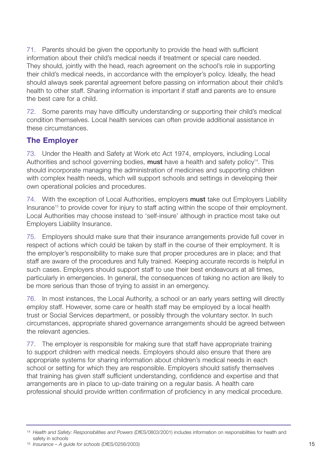71. Parents should be given the opportunity to provide the head with sufficient information about their child's medical needs if treatment or special care needed. They should, jointly with the head, reach agreement on the school's role in supporting their child's medical needs, in accordance with the employer's policy. Ideally, the head should always seek parental agreement before passing on information about their child's health to other staff. Sharing information is important if staff and parents are to ensure the best care for a child.

72. Some parents may have difficulty understanding or supporting their child's medical condition themselves. Local health services can often provide additional assistance in these circumstances.

## **The Employer**

73. Under the Health and Safety at Work etc Act 1974, employers, including Local Authorities and school governing bodies, **must** have a health and safety policy<sup>14</sup>. This should incorporate managing the administration of medicines and supporting children with complex health needs, which will support schools and settings in developing their own operational policies and procedures.

74. With the exception of Local Authorities, employers **must** take out Employers Liability Insurance<sup>15</sup> to provide cover for injury to staff acting within the scope of their employment. Local Authorities may choose instead to 'self-insure' although in practice most take out Employers Liability Insurance.

75. Employers should make sure that their insurance arrangements provide full cover in respect of actions which could be taken by staff in the course of their employment. It is the employer's responsibility to make sure that proper procedures are in place; and that staff are aware of the procedures and fully trained. Keeping accurate records is helpful in such cases. Employers should support staff to use their best endeavours at all times, particularly in emergencies. In general, the consequences of taking no action are likely to be more serious than those of trying to assist in an emergency.

76. In most instances, the Local Authority, a school or an early years setting will directly employ staff. However, some care or health staff may be employed by a local health trust or Social Services department, or possibly through the voluntary sector. In such circumstances, appropriate shared governance arrangements should be agreed between the relevant agencies.

77. The employer is responsible for making sure that staff have appropriate training to support children with medical needs. Employers should also ensure that there are appropriate systems for sharing information about children's medical needs in each school or setting for which they are responsible. Employers should satisfy themselves that training has given staff sufficient understanding, confidence and expertise and that arrangements are in place to up-date training on a regular basis. A health care professional should provide written confirmation of proficiency in any medical procedure.

<sup>14</sup> *Health and Safety: Responsibilities and Powers* (DfES/0803/2001) includes information on responsibilities for health and safety in schools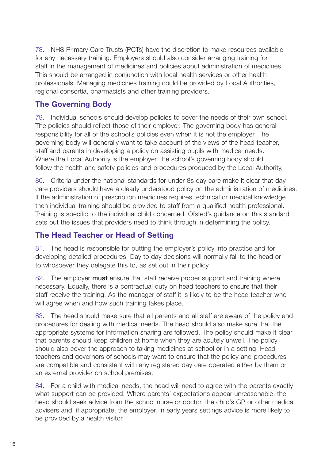78. NHS Primary Care Trusts (PCTs) have the discretion to make resources available for any necessary training. Employers should also consider arranging training for staff in the management of medicines and policies about administration of medicines. This should be arranged in conjunction with local health services or other health professionals. Managing medicines training could be provided by Local Authorities, regional consortia, pharmacists and other training providers.

# **The Governing Body**

79. Individual schools should develop policies to cover the needs of their own school. The policies should reflect those of their employer. The governing body has general responsibility for all of the school's policies even when it is not the employer. The governing body will generally want to take account of the views of the head teacher, staff and parents in developing a policy on assisting pupils with medical needs. Where the Local Authority is the employer, the school's governing body should follow the health and safety policies and procedures produced by the Local Authority.

80. Criteria under the national standards for under 8s day care make it clear that day care providers should have a clearly understood policy on the administration of medicines. If the administration of prescription medicines requires technical or medical knowledge then individual training should be provided to staff from a qualified health professional. Training is specific to the individual child concerned. Ofsted's guidance on this standard sets out the issues that providers need to think through in determining the policy.

# **The Head Teacher or Head of Setting**

81. The head is responsible for putting the employer's policy into practice and for developing detailed procedures. Day to day decisions will normally fall to the head or to whosoever they delegate this to, as set out in their policy.

82. The employer **must** ensure that staff receive proper support and training where necessary. Equally, there is a contractual duty on head teachers to ensure that their staff receive the training. As the manager of staff it is likely to be the head teacher who will agree when and how such training takes place.

83. The head should make sure that all parents and all staff are aware of the policy and procedures for dealing with medical needs. The head should also make sure that the appropriate systems for information sharing are followed. The policy should make it clear that parents should keep children at home when they are acutely unwell. The policy should also cover the approach to taking medicines at school or in a setting. Head teachers and governors of schools may want to ensure that the policy and procedures are compatible and consistent with any registered day care operated either by them or an external provider on school premises.

84. For a child with medical needs, the head will need to agree with the parents exactly what support can be provided. Where parents' expectations appear unreasonable, the head should seek advice from the school nurse or doctor, the child's GP or other medical advisers and, if appropriate, the employer. In early years settings advice is more likely to be provided by a health visitor.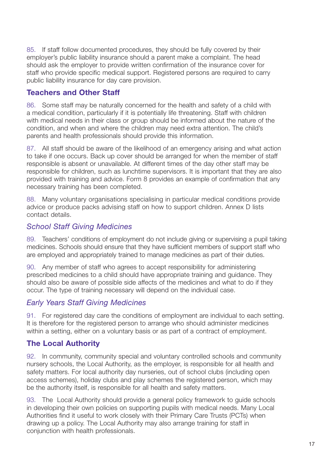85. If staff follow documented procedures, they should be fully covered by their employer's public liability insurance should a parent make a complaint. The head should ask the employer to provide written confirmation of the insurance cover for staff who provide specific medical support. Registered persons are required to carry public liability insurance for day care provision.

## **Teachers and Other Staff**

86. Some staff may be naturally concerned for the health and safety of a child with a medical condition, particularly if it is potentially life threatening. Staff with children with medical needs in their class or group should be informed about the nature of the condition, and when and where the children may need extra attention. The child's parents and health professionals should provide this information.

87. All staff should be aware of the likelihood of an emergency arising and what action to take if one occurs. Back up cover should be arranged for when the member of staff responsible is absent or unavailable. At different times of the day other staff may be responsible for children, such as lunchtime supervisors. It is important that they are also provided with training and advice. Form 8 provides an example of confirmation that any necessary training has been completed.

88. Many voluntary organisations specialising in particular medical conditions provide advice or produce packs advising staff on how to support children. Annex D lists contact details.

#### *School Staff Giving Medicines*

89. Teachers' conditions of employment do not include giving or supervising a pupil taking medicines. Schools should ensure that they have sufficient members of support staff who are employed and appropriately trained to manage medicines as part of their duties.

90. Any member of staff who agrees to accept responsibility for administering prescribed medicines to a child should have appropriate training and guidance. They should also be aware of possible side affects of the medicines and what to do if they occur. The type of training necessary will depend on the individual case.

## *Early Years Staff Giving Medicines*

91. For registered day care the conditions of employment are individual to each setting. It is therefore for the registered person to arrange who should administer medicines within a setting, either on a voluntary basis or as part of a contract of employment.

## **The Local Authority**

92. In community, community special and voluntary controlled schools and community nursery schools, the Local Authority, as the employer, is responsible for all health and safety matters. For local authority day nurseries, out of school clubs (including open access schemes), holiday clubs and play schemes the registered person, which may be the authority itself, is responsible for all health and safety matters.

93. The Local Authority should provide a general policy framework to guide schools in developing their own policies on supporting pupils with medical needs. Many Local Authorities find it useful to work closely with their Primary Care Trusts (PCTs) when drawing up a policy. The Local Authority may also arrange training for staff in conjunction with health professionals.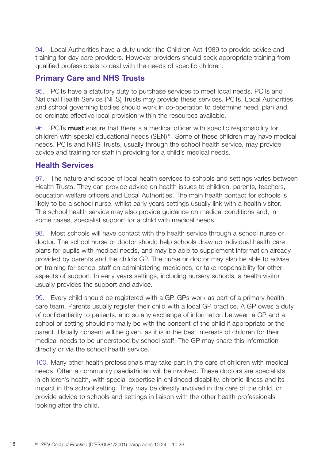94. Local Authorities have a duty under the Children Act 1989 to provide advice and training for day care providers. However providers should seek appropriate training from qualified professionals to deal with the needs of specific children.

# **Primary Care and NHS Trusts**

95. PCTs have a statutory duty to purchase services to meet local needs. PCTs and National Health Service (NHS) Trusts may provide these services. PCTs, Local Authorities and school governing bodies should work in co-operation to determine need, plan and co-ordinate effective local provision within the resources available.

96. PCTs **must** ensure that there is a medical officer with specific responsibility for children with special educational needs (SEN) 16. Some of these children may have medical needs. PCTs and NHS Trusts, usually through the school health service, may provide advice and training for staff in providing for a child's medical needs.

# **Health Services**

97. The nature and scope of local health services to schools and settings varies between Health Trusts. They can provide advice on health issues to children, parents, teachers, education welfare officers and Local Authorities. The main health contact for schools is likely to be a school nurse, whilst early years settings usually link with a health visitor. The school health service may also provide guidance on medical conditions and, in some cases, specialist support for a child with medical needs.

98. Most schools will have contact with the health service through a school nurse or doctor. The school nurse or doctor should help schools draw up individual health care plans for pupils with medical needs, and may be able to supplement information already provided by parents and the child's GP. The nurse or doctor may also be able to advise on training for school staff on administering medicines, or take responsibility for other aspects of support. In early years settings, including nursery schools, a health visitor usually provides the support and advice.

99. Every child should be registered with a GP. GPs work as part of a primary health care team. Parents usually register their child with a local GP practice. A GP owes a duty of confidentiality to patients, and so any exchange of information between a GP and a school or setting should normally be with the consent of the child if appropriate or the parent. Usually consent will be given, as it is in the best interests of children for their medical needs to be understood by school staff. The GP may share this information directly or via the school health service.

100. Many other health professionals may take part in the care of children with medical needs. Often a community paediatrician will be involved. These doctors are specialists in children's health, with special expertise in childhood disability, chronic illness and its impact in the school setting. They may be directly involved in the care of the child, or provide advice to schools and settings in liaison with the other health professionals looking after the child.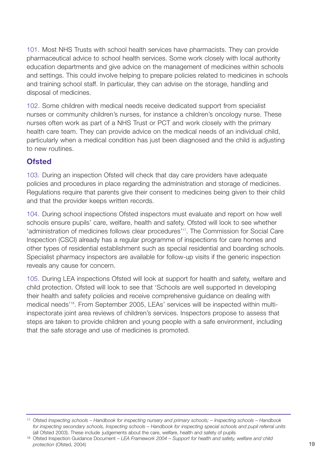101. Most NHS Trusts with school health services have pharmacists. They can provide pharmaceutical advice to school health services. Some work closely with local authority education departments and give advice on the management of medicines within schools and settings. This could involve helping to prepare policies related to medicines in schools and training school staff. In particular, they can advise on the storage, handling and disposal of medicines.

102. Some children with medical needs receive dedicated support from specialist nurses or community children's nurses, for instance a children's oncology nurse. These nurses often work as part of a NHS Trust or PCT and work closely with the primary health care team. They can provide advice on the medical needs of an individual child, particularly when a medical condition has just been diagnosed and the child is adjusting to new routines.

## **Ofsted**

103. During an inspection Ofsted will check that day care providers have adequate policies and procedures in place regarding the administration and storage of medicines. Regulations require that parents give their consent to medicines being given to their child and that the provider keeps written records.

104. During school inspections Ofsted inspectors must evaluate and report on how well schools ensure pupils' care, welfare, health and safety. Ofsted will look to see whether 'administration of medicines follows clear procedures'17. The Commission for Social Care Inspection (CSCI) already has a regular programme of inspections for care homes and other types of residential establishment such as special residential and boarding schools. Specialist pharmacy inspectors are available for follow-up visits if the generic inspection reveals any cause for concern.

105. During LEA inspections Ofsted will look at support for health and safety, welfare and child protection. Ofsted will look to see that 'Schools are well supported in developing their health and safety policies and receive comprehensive guidance on dealing with medical needs'18. From September 2005, LEAs' services will be inspected within multiinspectorate joint area reviews of children's services. Inspectors propose to assess that steps are taken to provide children and young people with a safe environment, including that the safe storage and use of medicines is promoted.

<sup>17</sup> Ofsted *Inspecting schools* – *Handbook for inspecting nursery and primary schools; – Inspecting schools* – *Handbook for inspecting secondary schools, Inspecting schools – Handbook for inspecting special schools and pupil referral units* (all Ofsted 2003). These include judgements about the care, welfare, health and safety of pupils

<sup>18</sup> Ofsted Inspection Guidance Document – *LEA Framework 2004* – *Support for health and safety, welfare and child* **protection** (Ofsted, 2004) 19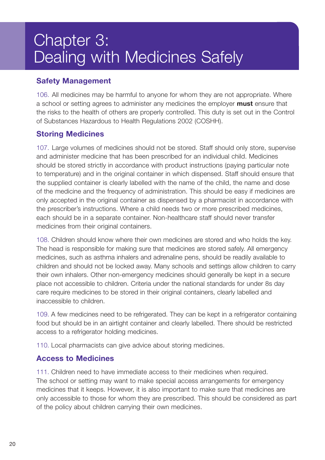# Chapter 3: Dealing with Medicines Safely

# **Safety Management**

106. All medicines may be harmful to anyone for whom they are not appropriate. Where a school or setting agrees to administer any medicines the employer **must** ensure that the risks to the health of others are properly controlled. This duty is set out in the Control of Substances Hazardous to Health Regulations 2002 (COSHH).

# **Storing Medicines**

107. Large volumes of medicines should not be stored. Staff should only store, supervise and administer medicine that has been prescribed for an individual child. Medicines should be stored strictly in accordance with product instructions (paying particular note to temperature) and in the original container in which dispensed. Staff should ensure that the supplied container is clearly labelled with the name of the child, the name and dose of the medicine and the frequency of administration. This should be easy if medicines are only accepted in the original container as dispensed by a pharmacist in accordance with the prescriber's instructions. Where a child needs two or more prescribed medicines, each should be in a separate container. Non-healthcare staff should never transfer medicines from their original containers.

108. Children should know where their own medicines are stored and who holds the key. The head is responsible for making sure that medicines are stored safely. All emergency medicines, such as asthma inhalers and adrenaline pens, should be readily available to children and should not be locked away. Many schools and settings allow children to carry their own inhalers. Other non-emergency medicines should generally be kept in a secure place not accessible to children. Criteria under the national standards for under 8s day care require medicines to be stored in their original containers, clearly labelled and inaccessible to children.

109. A few medicines need to be refrigerated. They can be kept in a refrigerator containing food but should be in an airtight container and clearly labelled. There should be restricted access to a refrigerator holding medicines.

110. Local pharmacists can give advice about storing medicines.

## **Access to Medicines**

111. Children need to have immediate access to their medicines when required. The school or setting may want to make special access arrangements for emergency medicines that it keeps. However, it is also important to make sure that medicines are only accessible to those for whom they are prescribed. This should be considered as part of the policy about children carrying their own medicines.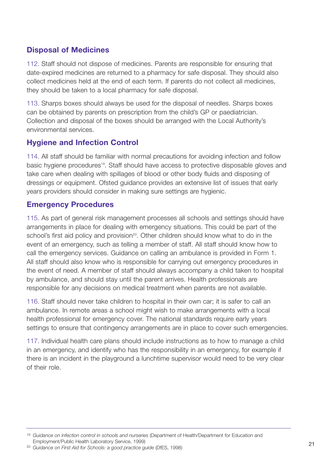# **Disposal of Medicines**

112. Staff should not dispose of medicines. Parents are responsible for ensuring that date-expired medicines are returned to a pharmacy for safe disposal. They should also collect medicines held at the end of each term. If parents do not collect all medicines, they should be taken to a local pharmacy for safe disposal.

113. Sharps boxes should always be used for the disposal of needles. Sharps boxes can be obtained by parents on prescription from the child's GP or paediatrician. Collection and disposal of the boxes should be arranged with the Local Authority's environmental services.

# **Hygiene and Infection Control**

114. All staff should be familiar with normal precautions for avoiding infection and follow basic hygiene procedures<sup>19</sup>. Staff should have access to protective disposable gloves and take care when dealing with spillages of blood or other body fluids and disposing of dressings or equipment. Ofsted guidance provides an extensive list of issues that early years providers should consider in making sure settings are hygienic.

## **Emergency Procedures**

115. As part of general risk management processes all schools and settings should have arrangements in place for dealing with emergency situations. This could be part of the school's first aid policy and provision<sup>20</sup>. Other children should know what to do in the event of an emergency, such as telling a member of staff. All staff should know how to call the emergency services. Guidance on calling an ambulance is provided in Form 1. All staff should also know who is responsible for carrying out emergency procedures in the event of need. A member of staff should always accompany a child taken to hospital by ambulance, and should stay until the parent arrives. Health professionals are responsible for any decisions on medical treatment when parents are not available.

116. Staff should never take children to hospital in their own car; it is safer to call an ambulance. In remote areas a school might wish to make arrangements with a local health professional for emergency cover. The national standards require early years settings to ensure that contingency arrangements are in place to cover such emergencies.

117. Individual health care plans should include instructions as to how to manage a child in an emergency, and identify who has the responsibility in an emergency, for example if there is an incident in the playground a lunchtime supervisor would need to be very clear of their role.

<sup>19</sup> *Guidance on infection control in schools and nurseries* (Department of Health/Department for Education and Employment/Public Health Laboratory Service, 1999) <sup>20</sup> *Guidance on First Aid for Schools: a good practice guide* (DfES, 1998) <sup>21</sup>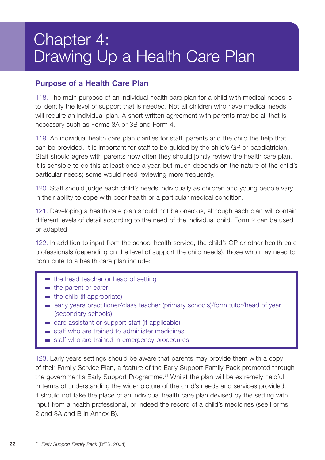# Chapter 4: Drawing Up a Health Care Plan

## **Purpose of a Health Care Plan**

118. The main purpose of an individual health care plan for a child with medical needs is to identify the level of support that is needed. Not all children who have medical needs will require an individual plan. A short written agreement with parents may be all that is necessary such as Forms 3A or 3B and Form 4.

119. An individual health care plan clarifies for staff, parents and the child the help that can be provided. It is important for staff to be guided by the child's GP or paediatrician. Staff should agree with parents how often they should jointly review the health care plan. It is sensible to do this at least once a year, but much depends on the nature of the child's particular needs; some would need reviewing more frequently.

120. Staff should judge each child's needs individually as children and young people vary in their ability to cope with poor health or a particular medical condition.

121. Developing a health care plan should not be onerous, although each plan will contain different levels of detail according to the need of the individual child. Form 2 can be used or adapted.

122. In addition to input from the school health service, the child's GP or other health care professionals (depending on the level of support the child needs), those who may need to contribute to a health care plan include:

- $\blacksquare$  the head teacher or head of setting
- $\blacksquare$  the parent or carer
- $\blacksquare$  the child (if appropriate)
- early years practitioner/class teacher (primary schools)/form tutor/head of year (secondary schools)
- care assistant or support staff (if applicable)
- staff who are trained to administer medicines
- staff who are trained in emergency procedures

123. Early years settings should be aware that parents may provide them with a copy of their Family Service Plan, a feature of the Early Support Family Pack promoted through the government's Early Support Programme.<sup>21</sup> Whilst the plan will be extremely helpful in terms of understanding the wider picture of the child's needs and services provided, it should not take the place of an individual health care plan devised by the setting with input from a health professional, or indeed the record of a child's medicines (see Forms 2 and 3A and B in Annex B).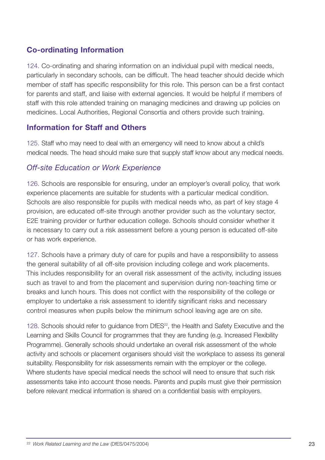# **Co-ordinating Information**

124. Co-ordinating and sharing information on an individual pupil with medical needs, particularly in secondary schools, can be difficult. The head teacher should decide which member of staff has specific responsibility for this role. This person can be a first contact for parents and staff, and liaise with external agencies. It would be helpful if members of staff with this role attended training on managing medicines and drawing up policies on medicines. Local Authorities, Regional Consortia and others provide such training.

#### **Information for Staff and Others**

125. Staff who may need to deal with an emergency will need to know about a child's medical needs. The head should make sure that supply staff know about any medical needs.

## *Off-site Education or Work Experience*

126. Schools are responsible for ensuring, under an employer's overall policy, that work experience placements are suitable for students with a particular medical condition. Schools are also responsible for pupils with medical needs who, as part of key stage 4 provision, are educated off-site through another provider such as the voluntary sector, E2E training provider or further education college. Schools should consider whether it is necessary to carry out a risk assessment before a young person is educated off-site or has work experience.

127. Schools have a primary duty of care for pupils and have a responsibility to assess the general suitability of all off-site provision including college and work placements. This includes responsibility for an overall risk assessment of the activity, including issues such as travel to and from the placement and supervision during non-teaching time or breaks and lunch hours. This does not conflict with the responsibility of the college or employer to undertake a risk assessment to identify significant risks and necessary control measures when pupils below the minimum school leaving age are on site.

128. Schools should refer to guidance from DfES<sup>22</sup>, the Health and Safety Executive and the Learning and Skills Council for programmes that they are funding (e.g. Increased Flexibility Programme). Generally schools should undertake an overall risk assessment of the whole activity and schools or placement organisers should visit the workplace to assess its general suitability. Responsibility for risk assessments remain with the employer or the college. Where students have special medical needs the school will need to ensure that such risk assessments take into account those needs. Parents and pupils must give their permission before relevant medical information is shared on a confidential basis with employers.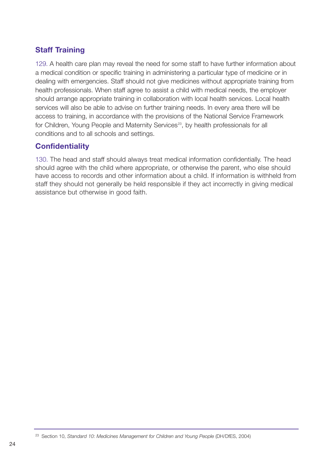# **Staff Training**

129. A health care plan may reveal the need for some staff to have further information about a medical condition or specific training in administering a particular type of medicine or in dealing with emergencies. Staff should not give medicines without appropriate training from health professionals. When staff agree to assist a child with medical needs, the employer should arrange appropriate training in collaboration with local health services. Local health services will also be able to advise on further training needs. In every area there will be access to training, in accordance with the provisions of the National Service Framework for Children, Young People and Maternity Services<sup>23</sup>, by health professionals for all conditions and to all schools and settings.

# **Confidentiality**

130. The head and staff should always treat medical information confidentially. The head should agree with the child where appropriate, or otherwise the parent, who else should have access to records and other information about a child. If information is withheld from staff they should not generally be held responsible if they act incorrectly in giving medical assistance but otherwise in good faith.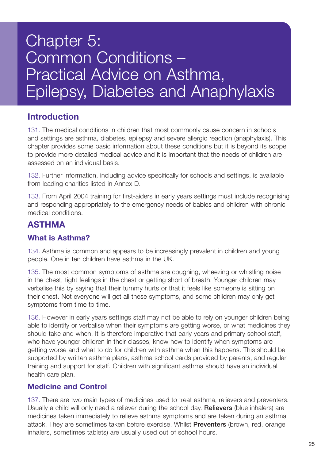# Chapter 5: Common Conditions – Practical Advice on Asthma, Epilepsy, Diabetes and Anaphylaxis

# **Introduction**

131. The medical conditions in children that most commonly cause concern in schools and settings are asthma, diabetes, epilepsy and severe allergic reaction (anaphylaxis). This chapter provides some basic information about these conditions but it is beyond its scope to provide more detailed medical advice and it is important that the needs of children are assessed on an individual basis.

132. Further information, including advice specifically for schools and settings, is available from leading charities listed in Annex D.

133. From April 2004 training for first-aiders in early years settings must include recognising and responding appropriately to the emergency needs of babies and children with chronic medical conditions.

# **ASTHMA**

## **What is Asthma?**

134. Asthma is common and appears to be increasingly prevalent in children and young people. One in ten children have asthma in the UK.

135. The most common symptoms of asthma are coughing, wheezing or whistling noise in the chest, tight feelings in the chest or getting short of breath. Younger children may verbalise this by saying that their tummy hurts or that it feels like someone is sitting on their chest. Not everyone will get all these symptoms, and some children may only get symptoms from time to time.

136. However in early years settings staff may not be able to rely on younger children being able to identify or verbalise when their symptoms are getting worse, or what medicines they should take and when. It is therefore imperative that early years and primary school staff, who have younger children in their classes, know how to identify when symptoms are getting worse and what to do for children with asthma when this happens. This should be supported by written asthma plans, asthma school cards provided by parents, and regular training and support for staff. Children with significant asthma should have an individual health care plan.

## **Medicine and Control**

137. There are two main types of medicines used to treat asthma, relievers and preventers. Usually a child will only need a reliever during the school day. **Relievers** (blue inhalers) are medicines taken immediately to relieve asthma symptoms and are taken during an asthma attack. They are sometimes taken before exercise. Whilst **Preventers** (brown, red, orange inhalers, sometimes tablets) are usually used out of school hours.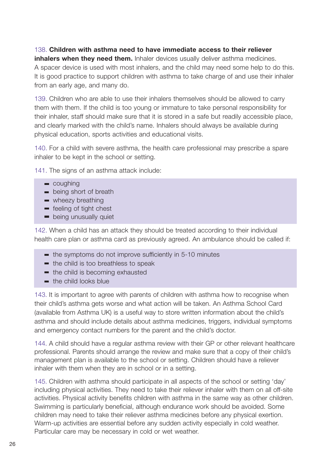#### 138. **Children with asthma need to have immediate access to their reliever**

**inhalers when they need them.** Inhaler devices usually deliver asthma medicines. A spacer device is used with most inhalers, and the child may need some help to do this. It is good practice to support children with asthma to take charge of and use their inhaler from an early age, and many do.

139. Children who are able to use their inhalers themselves should be allowed to carry them with them. If the child is too young or immature to take personal responsibility for their inhaler, staff should make sure that it is stored in a safe but readily accessible place, and clearly marked with the child's name. Inhalers should always be available during physical education, sports activities and educational visits.

140. For a child with severe asthma, the health care professional may prescribe a spare inhaler to be kept in the school or setting.

141. The signs of an asthma attack include:

- coughing
- **being short of breath**
- wheezy breathing
- **Example 1** feeling of tight chest
- **being unusually quiet**

142. When a child has an attack they should be treated according to their individual health care plan or asthma card as previously agreed. An ambulance should be called if:

- $\blacksquare$  the symptoms do not improve sufficiently in 5-10 minutes
- $\blacksquare$  the child is too breathless to speak
- the child is becoming exhausted
- the child looks blue

143. It is important to agree with parents of children with asthma how to recognise when their child's asthma gets worse and what action will be taken. An Asthma School Card (available from Asthma UK) is a useful way to store written information about the child's asthma and should include details about asthma medicines, triggers, individual symptoms and emergency contact numbers for the parent and the child's doctor.

144. A child should have a regular asthma review with their GP or other relevant healthcare professional. Parents should arrange the review and make sure that a copy of their child's management plan is available to the school or setting. Children should have a reliever inhaler with them when they are in school or in a setting.

145. Children with asthma should participate in all aspects of the school or setting 'day' including physical activities. They need to take their reliever inhaler with them on all off-site activities. Physical activity benefits children with asthma in the same way as other children. Swimming is particularly beneficial, although endurance work should be avoided. Some children may need to take their reliever asthma medicines before any physical exertion. Warm-up activities are essential before any sudden activity especially in cold weather. Particular care may be necessary in cold or wet weather.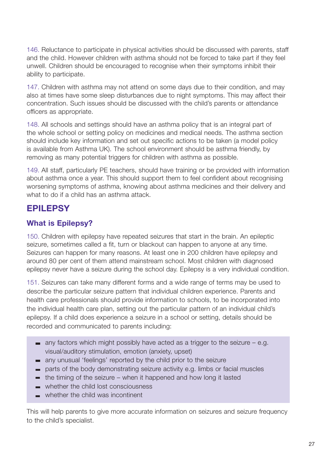146. Reluctance to participate in physical activities should be discussed with parents, staff and the child. However children with asthma should not be forced to take part if they feel unwell. Children should be encouraged to recognise when their symptoms inhibit their ability to participate.

147. Children with asthma may not attend on some days due to their condition, and may also at times have some sleep disturbances due to night symptoms. This may affect their concentration. Such issues should be discussed with the child's parents or attendance officers as appropriate.

148. All schools and settings should have an asthma policy that is an integral part of the whole school or setting policy on medicines and medical needs. The asthma section should include key information and set out specific actions to be taken (a model policy is available from Asthma UK). The school environment should be asthma friendly, by removing as many potential triggers for children with asthma as possible.

149. All staff, particularly PE teachers, should have training or be provided with information about asthma once a year. This should support them to feel confident about recognising worsening symptoms of asthma, knowing about asthma medicines and their delivery and what to do if a child has an asthma attack.

# **EPILEPSY**

# **What is Epilepsy?**

150. Children with epilepsy have repeated seizures that start in the brain. An epileptic seizure, sometimes called a fit, turn or blackout can happen to anyone at any time. Seizures can happen for many reasons. At least one in 200 children have epilepsy and around 80 per cent of them attend mainstream school. Most children with diagnosed epilepsy never have a seizure during the school day. Epilepsy is a very individual condition.

151. Seizures can take many different forms and a wide range of terms may be used to describe the particular seizure pattern that individual children experience. Parents and health care professionals should provide information to schools, to be incorporated into the individual health care plan, setting out the particular pattern of an individual child's epilepsy. If a child does experience a seizure in a school or setting, details should be recorded and communicated to parents including:

- any factors which might possibly have acted as a trigger to the seizure  $-$  e.g. visual/auditory stimulation, emotion (anxiety, upset)
- any unusual 'feelings' reported by the child prior to the seizure
- parts of the body demonstrating seizure activity e.g. limbs or facial muscles
- the timing of the seizure when it happened and how long it lasted
- whether the child lost consciousness
- whether the child was incontinent

This will help parents to give more accurate information on seizures and seizure frequency to the child's specialist.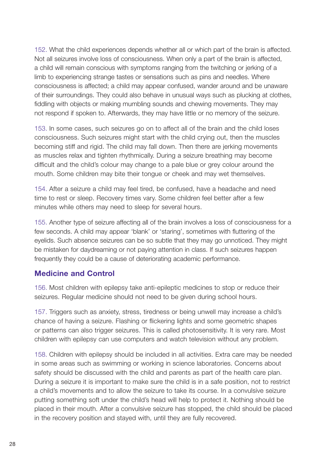152. What the child experiences depends whether all or which part of the brain is affected. Not all seizures involve loss of consciousness. When only a part of the brain is affected, a child will remain conscious with symptoms ranging from the twitching or jerking of a limb to experiencing strange tastes or sensations such as pins and needles. Where consciousness is affected; a child may appear confused, wander around and be unaware of their surroundings. They could also behave in unusual ways such as plucking at clothes, fiddling with objects or making mumbling sounds and chewing movements. They may not respond if spoken to. Afterwards, they may have little or no memory of the seizure.

153. In some cases, such seizures go on to affect all of the brain and the child loses consciousness. Such seizures might start with the child crying out, then the muscles becoming stiff and rigid. The child may fall down. Then there are jerking movements as muscles relax and tighten rhythmically. During a seizure breathing may become difficult and the child's colour may change to a pale blue or grey colour around the mouth. Some children may bite their tongue or cheek and may wet themselves.

154. After a seizure a child may feel tired, be confused, have a headache and need time to rest or sleep. Recovery times vary. Some children feel better after a few minutes while others may need to sleep for several hours.

155. Another type of seizure affecting all of the brain involves a loss of consciousness for a few seconds. A child may appear 'blank' or 'staring', sometimes with fluttering of the eyelids. Such absence seizures can be so subtle that they may go unnoticed. They might be mistaken for daydreaming or not paying attention in class. If such seizures happen frequently they could be a cause of deteriorating academic performance.

## **Medicine and Control**

156. Most children with epilepsy take anti-epileptic medicines to stop or reduce their seizures. Regular medicine should not need to be given during school hours.

157. Triggers such as anxiety, stress, tiredness or being unwell may increase a child's chance of having a seizure. Flashing or flickering lights and some geometric shapes or patterns can also trigger seizures. This is called photosensitivity. It is very rare. Most children with epilepsy can use computers and watch television without any problem.

158. Children with epilepsy should be included in all activities. Extra care may be needed in some areas such as swimming or working in science laboratories. Concerns about safety should be discussed with the child and parents as part of the health care plan. During a seizure it is important to make sure the child is in a safe position, not to restrict a child's movements and to allow the seizure to take its course. In a convulsive seizure putting something soft under the child's head will help to protect it. Nothing should be placed in their mouth. After a convulsive seizure has stopped, the child should be placed in the recovery position and stayed with, until they are fully recovered.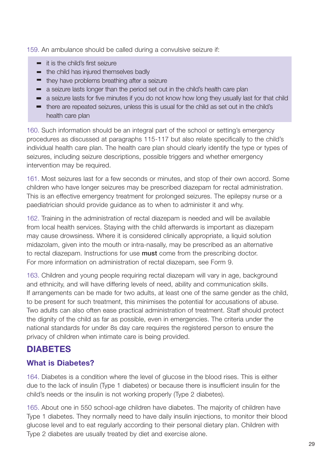159. An ambulance should be called during a convulsive seizure if:

- **it is the child's first seizure**
- **the child has injured themselves badly**
- **they have problems breathing after a seizure**
- a seizure lasts longer than the period set out in the child's health care plan
- a seizure lasts for five minutes if you do not know how long they usually last for that child
- there are repeated seizures, unless this is usual for the child as set out in the child's health care plan

160. Such information should be an integral part of the school or setting's emergency procedures as discussed at paragraphs 115-117 but also relate specifically to the child's individual health care plan. The health care plan should clearly identify the type or types of seizures, including seizure descriptions, possible triggers and whether emergency intervention may be required.

161. Most seizures last for a few seconds or minutes, and stop of their own accord. Some children who have longer seizures may be prescribed diazepam for rectal administration. This is an effective emergency treatment for prolonged seizures. The epilepsy nurse or a paediatrician should provide guidance as to when to administer it and why.

162. Training in the administration of rectal diazepam is needed and will be available from local health services. Staying with the child afterwards is important as diazepam may cause drowsiness. Where it is considered clinically appropriate, a liquid solution midazolam, given into the mouth or intra-nasally, may be prescribed as an alternative to rectal diazepam. Instructions for use **must** come from the prescribing doctor. For more information on administration of rectal diazepam, see Form 9.

163. Children and young people requiring rectal diazepam will vary in age, background and ethnicity, and will have differing levels of need, ability and communication skills. If arrangements can be made for two adults, at least one of the same gender as the child, to be present for such treatment, this minimises the potential for accusations of abuse. Two adults can also often ease practical administration of treatment. Staff should protect the dignity of the child as far as possible, even in emergencies. The criteria under the national standards for under 8s day care requires the registered person to ensure the privacy of children when intimate care is being provided.

# **DIABETES**

# **What is Diabetes?**

164. Diabetes is a condition where the level of glucose in the blood rises. This is either due to the lack of insulin (Type 1 diabetes) or because there is insufficient insulin for the child's needs or the insulin is not working properly (Type 2 diabetes).

165. About one in 550 school-age children have diabetes. The majority of children have Type 1 diabetes. They normally need to have daily insulin injections, to monitor their blood glucose level and to eat regularly according to their personal dietary plan. Children with Type 2 diabetes are usually treated by diet and exercise alone.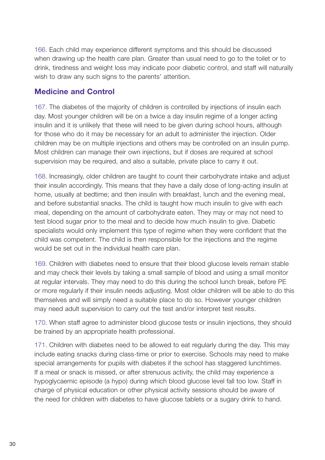166. Each child may experience different symptoms and this should be discussed when drawing up the health care plan. Greater than usual need to go to the toilet or to drink, tiredness and weight loss may indicate poor diabetic control, and staff will naturally wish to draw any such signs to the parents' attention.

## **Medicine and Control**

167. The diabetes of the majority of children is controlled by injections of insulin each day. Most younger children will be on a twice a day insulin regime of a longer acting insulin and it is unlikely that these will need to be given during school hours, although for those who do it may be necessary for an adult to administer the injection. Older children may be on multiple injections and others may be controlled on an insulin pump. Most children can manage their own injections, but if doses are required at school supervision may be required, and also a suitable, private place to carry it out.

168. Increasingly, older children are taught to count their carbohydrate intake and adjust their insulin accordingly. This means that they have a daily dose of long-acting insulin at home, usually at bedtime; and then insulin with breakfast, lunch and the evening meal, and before substantial snacks. The child is taught how much insulin to give with each meal, depending on the amount of carbohydrate eaten. They may or may not need to test blood sugar prior to the meal and to decide how much insulin to give. Diabetic specialists would only implement this type of regime when they were confident that the child was competent. The child is then responsible for the injections and the regime would be set out in the individual health care plan.

169. Children with diabetes need to ensure that their blood glucose levels remain stable and may check their levels by taking a small sample of blood and using a small monitor at regular intervals. They may need to do this during the school lunch break, before PE or more regularly if their insulin needs adjusting. Most older children will be able to do this themselves and will simply need a suitable place to do so. However younger children may need adult supervision to carry out the test and/or interpret test results.

170. When staff agree to administer blood glucose tests or insulin injections, they should be trained by an appropriate health professional.

171. Children with diabetes need to be allowed to eat regularly during the day. This may include eating snacks during class-time or prior to exercise. Schools may need to make special arrangements for pupils with diabetes if the school has staggered lunchtimes. If a meal or snack is missed, or after strenuous activity, the child may experience a hypoglycaemic episode (a hypo) during which blood glucose level fall too low. Staff in charge of physical education or other physical activity sessions should be aware of the need for children with diabetes to have glucose tablets or a sugary drink to hand.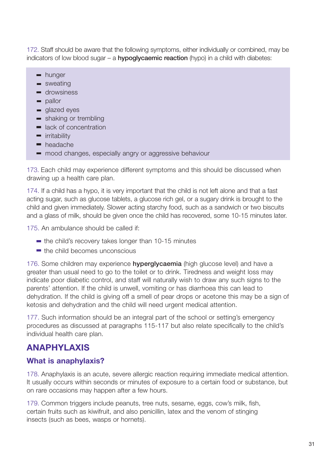172. Staff should be aware that the following symptoms, either individually or combined, may be indicators of low blood sugar – a **hypoglycaemic reaction** (hypo) in a child with diabetes:

- **hunger**
- sweating
- **drowsiness**
- **pallor**
- signal glazed eyes
- **shaking or trembling**
- **lack of concentration**
- **Tability**
- **headache**
- $\blacksquare$  mood changes, especially angry or aggressive behaviour

173. Each child may experience different symptoms and this should be discussed when drawing up a health care plan.

174. If a child has a hypo, it is very important that the child is not left alone and that a fast acting sugar, such as glucose tablets, a glucose rich gel, or a sugary drink is brought to the child and given immediately. Slower acting starchy food, such as a sandwich or two biscuits and a glass of milk, should be given once the child has recovered, some 10-15 minutes later.

175. An ambulance should be called if:

- $\blacksquare$  the child's recovery takes longer than 10-15 minutes
- $\blacksquare$  the child becomes unconscious

176. Some children may experience **hyperglycaemia** (high glucose level) and have a greater than usual need to go to the toilet or to drink. Tiredness and weight loss may indicate poor diabetic control, and staff will naturally wish to draw any such signs to the parents' attention. If the child is unwell, vomiting or has diarrhoea this can lead to dehydration. If the child is giving off a smell of pear drops or acetone this may be a sign of ketosis and dehydration and the child will need urgent medical attention.

177. Such information should be an integral part of the school or setting's emergency procedures as discussed at paragraphs 115-117 but also relate specifically to the child's individual health care plan.

# **ANAPHYLAXIS**

# **What is anaphylaxis?**

178. Anaphylaxis is an acute, severe allergic reaction requiring immediate medical attention. It usually occurs within seconds or minutes of exposure to a certain food or substance, but on rare occasions may happen after a few hours.

179. Common triggers include peanuts, tree nuts, sesame, eggs, cow's milk, fish, certain fruits such as kiwifruit, and also penicillin, latex and the venom of stinging insects (such as bees, wasps or hornets).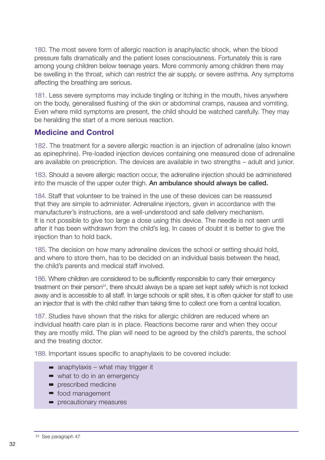180. The most severe form of allergic reaction is anaphylactic shock, when the blood pressure falls dramatically and the patient loses consciousness. Fortunately this is rare among young children below teenage years. More commonly among children there may be swelling in the throat, which can restrict the air supply, or severe asthma. Any symptoms affecting the breathing are serious.

181. Less severe symptoms may include tingling or itching in the mouth, hives anywhere on the body, generalised flushing of the skin or abdominal cramps, nausea and vomiting. Even where mild symptoms are present, the child should be watched carefully. They may be heralding the start of a more serious reaction.

## **Medicine and Control**

182. The treatment for a severe allergic reaction is an injection of adrenaline (also known as epinephrine). Pre-loaded injection devices containing one measured dose of adrenaline are available on prescription. The devices are available in two strengths – adult and junior.

183. Should a severe allergic reaction occur, the adrenaline injection should be administered into the muscle of the upper outer thigh. **An ambulance should always be called.**

184. Staff that volunteer to be trained in the use of these devices can be reassured that they are simple to administer. Adrenaline injectors, given in accordance with the manufacturer's instructions, are a well-understood and safe delivery mechanism. It is not possible to give too large a dose using this device. The needle is not seen until after it has been withdrawn from the child's leg. In cases of doubt it is better to give the injection than to hold back.

185. The decision on how many adrenaline devices the school or setting should hold, and where to store them, has to be decided on an individual basis between the head, the child's parents and medical staff involved.

186. Where children are considered to be sufficiently responsible to carry their emergency treatment on their person<sup>24</sup>, there should always be a spare set kept safely which is not locked away and is accessible to all staff. In large schools or split sites, it is often quicker for staff to use an injector that is with the child rather than taking time to collect one from a central location.

187. Studies have shown that the risks for allergic children are reduced where an individual health care plan is in place. Reactions become rarer and when they occur they are mostly mild. The plan will need to be agreed by the child's parents, the school and the treating doctor.

188. Important issues specific to anaphylaxis to be covered include:

- $\blacksquare$  anaphylaxis what may trigger it
- what to do in an emergency
- **prescribed medicine**
- food management
- **Paragele Final Precautionary measures**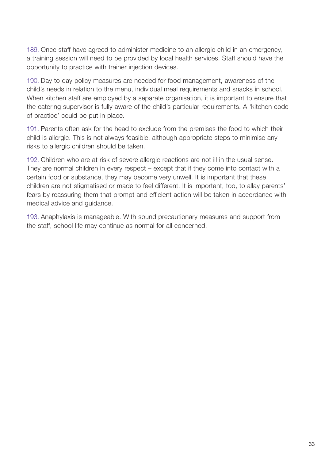189. Once staff have agreed to administer medicine to an allergic child in an emergency, a training session will need to be provided by local health services. Staff should have the opportunity to practice with trainer injection devices.

190. Day to day policy measures are needed for food management, awareness of the child's needs in relation to the menu, individual meal requirements and snacks in school. When kitchen staff are employed by a separate organisation, it is important to ensure that the catering supervisor is fully aware of the child's particular requirements. A 'kitchen code of practice' could be put in place.

191. Parents often ask for the head to exclude from the premises the food to which their child is allergic. This is not always feasible, although appropriate steps to minimise any risks to allergic children should be taken.

192. Children who are at risk of severe allergic reactions are not ill in the usual sense. They are normal children in every respect – except that if they come into contact with a certain food or substance, they may become very unwell. It is important that these children are not stigmatised or made to feel different. It is important, too, to allay parents' fears by reassuring them that prompt and efficient action will be taken in accordance with medical advice and guidance.

193. Anaphylaxis is manageable. With sound precautionary measures and support from the staff, school life may continue as normal for all concerned.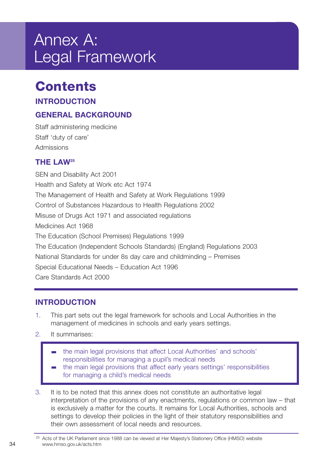# Annex A: Legal Framework

# **Contents**

# **INTRODUCTION**

# **GENERAL BACKGROUND**

Staff administering medicine Staff 'duty of care' Admissions

# **THE LAW25**

SEN and Disability Act 2001 Health and Safety at Work etc Act 1974 The Management of Health and Safety at Work Regulations 1999 Control of Substances Hazardous to Health Regulations 2002 Misuse of Drugs Act 1971 and associated regulations Medicines Act 1968 The Education (School Premises) Regulations 1999 The Education (Independent Schools Standards) (England) Regulations 2003 National Standards for under 8s day care and childminding – Premises Special Educational Needs – Education Act 1996 Care Standards Act 2000

# **INTRODUCTION**

- 1. This part sets out the legal framework for schools and Local Authorities in the management of medicines in schools and early years settings.
- 2. It summarises:
	- the main legal provisions that affect Local Authorities' and schools' responsibilities for managing a pupil's medical needs
	- the main legal provisions that affect early years settings' responsibilities for managing a child's medical needs
- 3. It is to be noted that this annex does not constitute an authoritative legal interpretation of the provisions of any enactments, regulations or common law – that is exclusively a matter for the courts. It remains for Local Authorities, schools and settings to develop their policies in the light of their statutory responsibilities and their own assessment of local needs and resources.

<sup>&</sup>lt;sup>25</sup> Acts of the UK Parliament since 1988 can be viewed at Her Majesty's Stationery Office (HMSO) website 34 www.hmso.gov.uk/acts.htm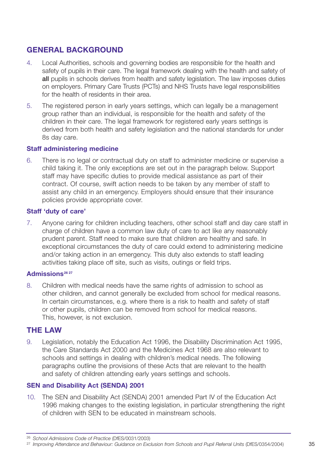# **GENERAL BACKGROUND**

- 4. Local Authorities, schools and governing bodies are responsible for the health and safety of pupils in their care. The legal framework dealing with the health and safety of **all** pupils in schools derives from health and safety legislation. The law imposes duties on employers. Primary Care Trusts (PCTs) and NHS Trusts have legal responsibilities for the health of residents in their area.
- 5. The registered person in early years settings, which can legally be a management group rather than an individual, is responsible for the health and safety of the children in their care. The legal framework for registered early years settings is derived from both health and safety legislation and the national standards for under 8s day care.

#### **Staff administering medicine**

6. There is no legal or contractual duty on staff to administer medicine or supervise a child taking it. The only exceptions are set out in the paragraph below. Support staff may have specific duties to provide medical assistance as part of their contract. Of course, swift action needs to be taken by any member of staff to assist any child in an emergency. Employers should ensure that their insurance policies provide appropriate cover.

#### **Staff 'duty of care'**

7. Anyone caring for children including teachers, other school staff and day care staff in charge of children have a common law duty of care to act like any reasonably prudent parent. Staff need to make sure that children are healthy and safe. In exceptional circumstances the duty of care could extend to administering medicine and/or taking action in an emergency. This duty also extends to staff leading activities taking place off site, such as visits, outings or field trips.

#### Admissions<sup>26</sup><sup>27</sup>

8. Children with medical needs have the same rights of admission to school as other children, and cannot generally be excluded from school for medical reasons. In certain circumstances, e.g. where there is a risk to health and safety of staff or other pupils, children can be removed from school for medical reasons. This, however, is not exclusion.

## **THE LAW**

9. Legislation, notably the Education Act 1996, the Disability Discrimination Act 1995, the Care Standards Act 2000 and the Medicines Act 1968 are also relevant to schools and settings in dealing with children's medical needs. The following paragraphs outline the provisions of these Acts that are relevant to the health and safety of children attending early years settings and schools.

#### **SEN and Disability Act (SENDA) 2001**

10. The SEN and Disability Act (SENDA) 2001 amended Part IV of the Education Act 1996 making changes to the existing legislation, in particular strengthening the right of children with SEN to be educated in mainstream schools.

<sup>26</sup> *School Admissions Code of Practice* (DfES/0031/2003)

<sup>&</sup>lt;sup>27</sup> Improving Attendance and Behaviour: Guidance on Exclusion from Schools and Pupil Referral Units (DfES/0354/2004) 35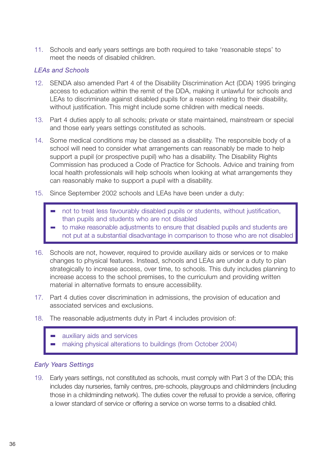11. Schools and early years settings are both required to take 'reasonable steps' to meet the needs of disabled children.

#### *LEAs and Schools*

- 12. SENDA also amended Part 4 of the Disability Discrimination Act (DDA) 1995 bringing access to education within the remit of the DDA, making it unlawful for schools and LEAs to discriminate against disabled pupils for a reason relating to their disability, without justification. This might include some children with medical needs.
- 13. Part 4 duties apply to all schools; private or state maintained, mainstream or special and those early years settings constituted as schools.
- 14. Some medical conditions may be classed as a disability. The responsible body of a school will need to consider what arrangements can reasonably be made to help support a pupil (or prospective pupil) who has a disability. The Disability Rights Commission has produced a Code of Practice for Schools. Advice and training from local health professionals will help schools when looking at what arrangements they can reasonably make to support a pupil with a disability.
- 15. Since September 2002 schools and LEAs have been under a duty:
	- not to treat less favourably disabled pupils or students, without justification, than pupils and students who are not disabled
	- to make reasonable adjustments to ensure that disabled pupils and students are not put at a substantial disadvantage in comparison to those who are not disabled
- 16. Schools are not, however, required to provide auxiliary aids or services or to make changes to physical features. Instead, schools and LEAs are under a duty to plan strategically to increase access, over time, to schools. This duty includes planning to increase access to the school premises, to the curriculum and providing written material in alternative formats to ensure accessibility.
- 17. Part 4 duties cover discrimination in admissions, the provision of education and associated services and exclusions.
- 18. The reasonable adjustments duty in Part 4 includes provision of:
	- auxiliary aids and services making physical alterations to buildings (from October 2004)

#### *Early Years Settings*

19. Early years settings, not constituted as schools, must comply with Part 3 of the DDA; this includes day nurseries, family centres, pre-schools, playgroups and childminders (including those in a childminding network). The duties cover the refusal to provide a service, offering a lower standard of service or offering a service on worse terms to a disabled child.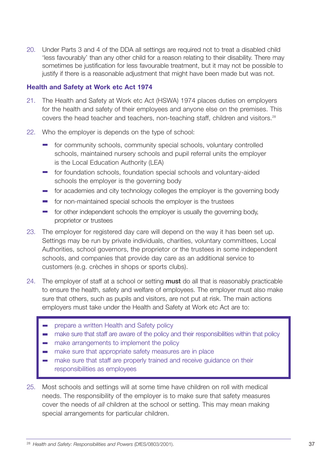20. Under Parts 3 and 4 of the DDA all settings are required not to treat a disabled child 'less favourably' than any other child for a reason relating to their disability. There may sometimes be justification for less favourable treatment, but it may not be possible to justify if there is a reasonable adjustment that might have been made but was not.

#### **Health and Safety at Work etc Act 1974**

- 21. The Health and Safety at Work etc Act (HSWA) 1974 places duties on employers for the health and safety of their employees and anyone else on the premises. This covers the head teacher and teachers, non-teaching staff, children and visitors.28
- 22. Who the employer is depends on the type of school:
	- $\blacksquare$  for community schools, community special schools, voluntary controlled schools, maintained nursery schools and pupil referral units the employer is the Local Education Authority (LEA)
	- for foundation schools, foundation special schools and voluntary-aided schools the employer is the governing body
	- for academies and city technology colleges the employer is the governing body
	- for non-maintained special schools the employer is the trustees
	- for other independent schools the employer is usually the governing body,  $\sim 100$ proprietor or trustees
- 23. The employer for registered day care will depend on the way it has been set up. Settings may be run by private individuals, charities, voluntary committees, Local Authorities, school governors, the proprietor or the trustees in some independent schools, and companies that provide day care as an additional service to customers (e.g. crèches in shops or sports clubs).
- 24. The employer of staff at a school or setting **must** do all that is reasonably practicable to ensure the health, safety and welfare of employees. The employer must also make sure that others, such as pupils and visitors, are not put at risk. The main actions employers must take under the Health and Safety at Work etc Act are to:
	- prepare a written Health and Safety policy
	- make sure that staff are aware of the policy and their responsibilities within that policy  $\mathcal{L}^{\text{max}}$
	- **EXECUTE:** make arrangements to implement the policy
	- make sure that appropriate safety measures are in place
	- make sure that staff are properly trained and receive guidance on their responsibilities as employees
- 25. Most schools and settings will at some time have children on roll with medical needs. The responsibility of the employer is to make sure that safety measures cover the needs of *all* children at the school or setting. This may mean making special arrangements for particular children.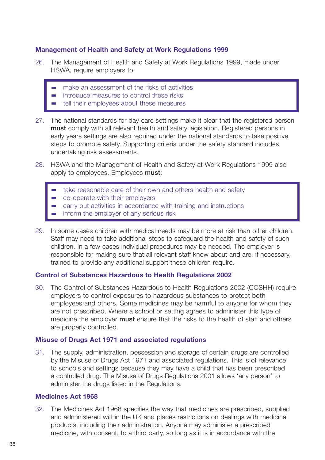#### **Management of Health and Safety at Work Regulations 1999**

- 26. The Management of Health and Safety at Work Regulations 1999, made under HSWA, require employers to:
	- make an assessment of the risks of activities
	- introduce measures to control these risks
	- tell their employees about these measures
- 27. The national standards for day care settings make it clear that the registered person **must** comply with all relevant health and safety legislation. Registered persons in early years settings are also required under the national standards to take positive steps to promote safety. Supporting criteria under the safety standard includes undertaking risk assessments.
- 28. HSWA and the Management of Health and Safety at Work Regulations 1999 also apply to employees. Employees **must**:
	- take reasonable care of their own and others health and safety
	- co-operate with their employers
	- carry out activities in accordance with training and instructions
	- inform the employer of any serious risk
- 29. In some cases children with medical needs may be more at risk than other children. Staff may need to take additional steps to safeguard the health and safety of such children. In a few cases individual procedures may be needed. The employer is responsible for making sure that all relevant staff know about and are, if necessary, trained to provide any additional support these children require.

#### **Control of Substances Hazardous to Health Regulations 2002**

30. The Control of Substances Hazardous to Health Regulations 2002 (COSHH) require employers to control exposures to hazardous substances to protect both employees and others. Some medicines may be harmful to anyone for whom they are not prescribed. Where a school or setting agrees to administer this type of medicine the employer **must** ensure that the risks to the health of staff and others are properly controlled.

#### **Misuse of Drugs Act 1971 and associated regulations**

31. The supply, administration, possession and storage of certain drugs are controlled by the Misuse of Drugs Act 1971 and associated regulations. This is of relevance to schools and settings because they may have a child that has been prescribed a controlled drug. The Misuse of Drugs Regulations 2001 allows 'any person' to administer the drugs listed in the Regulations.

#### **Medicines Act 1968**

32. The Medicines Act 1968 specifies the way that medicines are prescribed, supplied and administered within the UK and places restrictions on dealings with medicinal products, including their administration. Anyone may administer a prescribed medicine, with consent, to a third party, so long as it is in accordance with the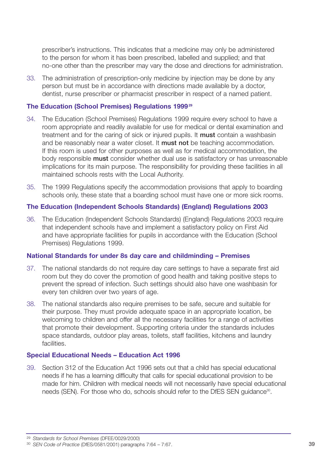prescriber's instructions. This indicates that a medicine may only be administered to the person for whom it has been prescribed, labelled and supplied; and that no-one other than the prescriber may vary the dose and directions for administration.

33. The administration of prescription-only medicine by injection may be done by any person but must be in accordance with directions made available by a doctor, dentist, nurse prescriber or pharmacist prescriber in respect of a named patient.

#### **The Education (School Premises) Regulations 1999<sup>29</sup>**

- 34. The Education (School Premises) Regulations 1999 require every school to have a room appropriate and readily available for use for medical or dental examination and treatment and for the caring of sick or injured pupils. It **must** contain a washbasin and be reasonably near a water closet. It **must not** be teaching accommodation. If this room is used for other purposes as well as for medical accommodation, the body responsible **must** consider whether dual use is satisfactory or has unreasonable implications for its main purpose. The responsibility for providing these facilities in all maintained schools rests with the Local Authority.
- 35. The 1999 Regulations specify the accommodation provisions that apply to boarding schools only, these state that a boarding school must have one or more sick rooms.

#### **The Education (Independent Schools Standards) (England) Regulations 2003**

36. The Education (Independent Schools Standards) (England) Regulations 2003 require that independent schools have and implement a satisfactory policy on First Aid and have appropriate facilities for pupils in accordance with the Education (School Premises) Regulations 1999.

#### **National Standards for under 8s day care and childminding – Premises**

- 37. The national standards do not require day care settings to have a separate first aid room but they do cover the promotion of good health and taking positive steps to prevent the spread of infection. Such settings should also have one washbasin for every ten children over two years of age.
- 38. The national standards also require premises to be safe, secure and suitable for their purpose. They must provide adequate space in an appropriate location, be welcoming to children and offer all the necessary facilities for a range of activities that promote their development. Supporting criteria under the standards includes space standards, outdoor play areas, toilets, staff facilities, kitchens and laundry facilities.

#### **Special Educational Needs – Education Act 1996**

39. Section 312 of the Education Act 1996 sets out that a child has special educational needs if he has a learning difficulty that calls for special educational provision to be made for him. Children with medical needs will not necessarily have special educational needs (SEN). For those who do, schools should refer to the DfES SEN quidance<sup>30</sup>.

<sup>29</sup> *Standards for School Premises* (DFEE/0029/2000)

<sup>30</sup> *SEN Code of Practice* (DfES/0581/2001) paragraphs 7:64 – 7:67. 39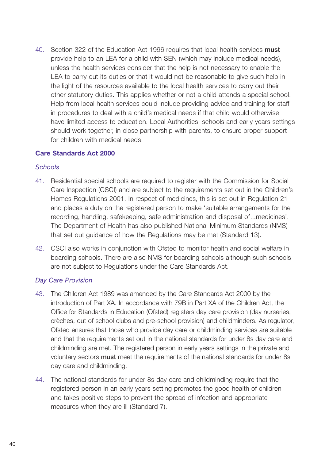40. Section 322 of the Education Act 1996 requires that local health services **must** provide help to an LEA for a child with SEN (which may include medical needs), unless the health services consider that the help is not necessary to enable the LEA to carry out its duties or that it would not be reasonable to give such help in the light of the resources available to the local health services to carry out their other statutory duties. This applies whether or not a child attends a special school. Help from local health services could include providing advice and training for staff in procedures to deal with a child's medical needs if that child would otherwise have limited access to education. Local Authorities, schools and early years settings should work together, in close partnership with parents, to ensure proper support for children with medical needs.

#### **Care Standards Act 2000**

#### *Schools*

- 41. Residential special schools are required to register with the Commission for Social Care Inspection (CSCI) and are subject to the requirements set out in the Children's Homes Regulations 2001. In respect of medicines, this is set out in Regulation 21 and places a duty on the registered person to make 'suitable arrangements for the recording, handling, safekeeping, safe administration and disposal of...medicines'. The Department of Health has also published National Minimum Standards (NMS) that set out guidance of how the Regulations may be met (Standard 13).
- 42. CSCI also works in conjunction with Ofsted to monitor health and social welfare in boarding schools. There are also NMS for boarding schools although such schools are not subject to Regulations under the Care Standards Act.

#### *Day Care Provision*

- 43. The Children Act 1989 was amended by the Care Standards Act 2000 by the introduction of Part XA. In accordance with 79B in Part XA of the Children Act, the Office for Standards in Education (Ofsted) registers day care provision (day nurseries, crèches, out of school clubs and pre-school provision) and childminders. As regulator, Ofsted ensures that those who provide day care or childminding services are suitable and that the requirements set out in the national standards for under 8s day care and childminding are met. The registered person in early years settings in the private and voluntary sectors **must** meet the requirements of the national standards for under 8s day care and childminding.
- 44. The national standards for under 8s day care and childminding require that the registered person in an early years setting promotes the good health of children and takes positive steps to prevent the spread of infection and appropriate measures when they are ill (Standard 7).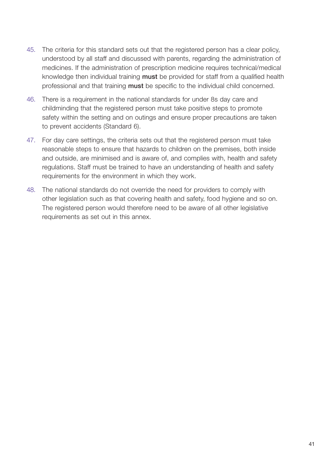- 45. The criteria for this standard sets out that the registered person has a clear policy, understood by all staff and discussed with parents, regarding the administration of medicines. If the administration of prescription medicine requires technical/medical knowledge then individual training **must** be provided for staff from a qualified health professional and that training **must** be specific to the individual child concerned.
- 46. There is a requirement in the national standards for under 8s day care and childminding that the registered person must take positive steps to promote safety within the setting and on outings and ensure proper precautions are taken to prevent accidents (Standard 6).
- 47. For day care settings, the criteria sets out that the registered person must take reasonable steps to ensure that hazards to children on the premises, both inside and outside, are minimised and is aware of, and complies with, health and safety regulations. Staff must be trained to have an understanding of health and safety requirements for the environment in which they work.
- 48. The national standards do not override the need for providers to comply with other legislation such as that covering health and safety, food hygiene and so on. The registered person would therefore need to be aware of all other legislative requirements as set out in this annex.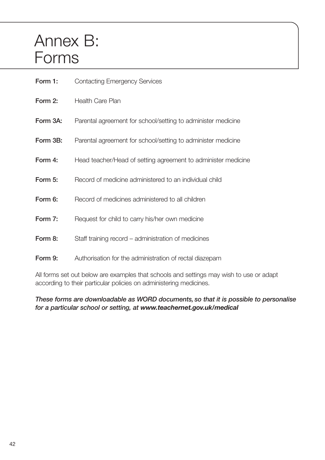# Annex B: Forms

| Form 1:  | <b>Contacting Emergency Services</b>                          |
|----------|---------------------------------------------------------------|
| Form 2:  | Health Care Plan                                              |
| Form 3A: | Parental agreement for school/setting to administer medicine  |
| Form 3B: | Parental agreement for school/setting to administer medicine  |
| Form 4:  | Head teacher/Head of setting agreement to administer medicine |
| Form 5:  | Record of medicine administered to an individual child        |
| Form 6:  | Record of medicines administered to all children              |
| Form 7:  | Request for child to carry his/her own medicine               |
| Form 8:  | Staff training record – administration of medicines           |
| Form 9:  | Authorisation for the administration of rectal diazepam       |

All forms set out below are examples that schools and settings may wish to use or adapt according to their particular policies on administering medicines.

*These forms are downloadable as WORD documents, so that it is possible to personalise for a particular school or setting, at www.teachernet.gov.uk/medical*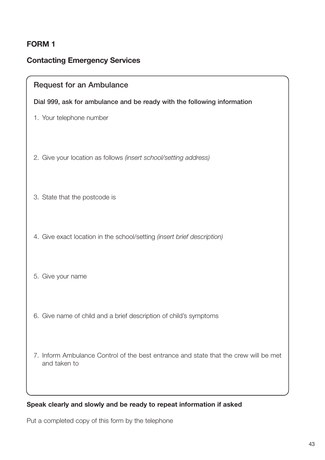#### **Contacting Emergency Services**

#### **Request for an Ambulance**

#### **Dial 999, ask for ambulance and be ready with the following information**

- 1. Your telephone number
- 2. Give your location as follows *(insert school/setting address)*
- 3. State that the postcode is
- 4. Give exact location in the school/setting *(insert brief description)*
- 5. Give your name
- 6. Give name of child and a brief description of child's symptoms
- 7. Inform Ambulance Control of the best entrance and state that the crew will be met and taken to

#### **Speak clearly and slowly and be ready to repeat information if asked**

Put a completed copy of this form by the telephone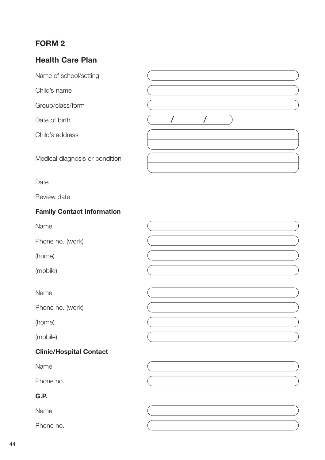# **Health Care Plan**

| Name of school/setting            |  |
|-----------------------------------|--|
| Child's name                      |  |
| Group/class/form                  |  |
| Date of birth                     |  |
| Child's address                   |  |
| Medical diagnosis or condition    |  |
| Date                              |  |
| Review date                       |  |
| <b>Family Contact Information</b> |  |
| Name                              |  |
| Phone no. (work)                  |  |
| (home)                            |  |
| (mobile)                          |  |
| Name                              |  |
| Phone no. (work)                  |  |
| (home)                            |  |
| (mobile)                          |  |
| <b>Clinic/Hospital Contact</b>    |  |
| Name                              |  |
| Phone no.                         |  |
| G.P.                              |  |
| Name                              |  |
| Phone no.                         |  |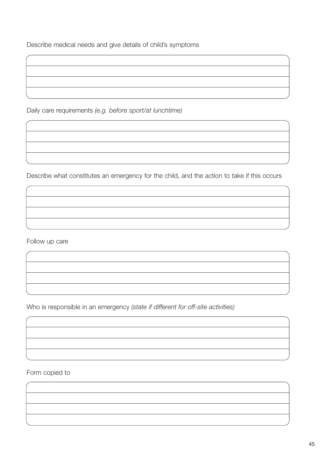Describe medical needs and give details of child's symptoms

Daily care requirements *(e.g. before sport/at lunchtime)*

Describe what constitutes an emergency for the child, and the action to take if this occurs

Follow up care

Who is responsible in an emergency *(state if different for off-site activities)*

Form copied to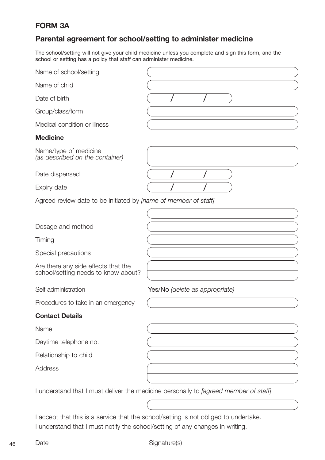# **FORM 3A**

## **Parental agreement for school/setting to administer medicine**

The school/setting will not give your child medicine unless you complete and sign this form, and the school or setting has a policy that staff can administer medicine.

| Name of school/setting                                                        |                                                                                             |
|-------------------------------------------------------------------------------|---------------------------------------------------------------------------------------------|
| Name of child                                                                 |                                                                                             |
| Date of birth                                                                 |                                                                                             |
| Group/class/form                                                              |                                                                                             |
| Medical condition or illness                                                  |                                                                                             |
| <b>Medicine</b>                                                               |                                                                                             |
| Name/type of medicine<br>(as described on the container)                      |                                                                                             |
| Date dispensed                                                                |                                                                                             |
| Expiry date                                                                   |                                                                                             |
| Agreed review date to be initiated by <i>[name of member of staff]</i>        |                                                                                             |
|                                                                               |                                                                                             |
| Dosage and method                                                             |                                                                                             |
| Timing                                                                        |                                                                                             |
| Special precautions                                                           |                                                                                             |
| Are there any side effects that the<br>school/setting needs to know about?    |                                                                                             |
| Self administration                                                           | Yes/No (delete as appropriate)                                                              |
| Procedures to take in an emergency                                            |                                                                                             |
| <b>Contact Details</b>                                                        |                                                                                             |
| Name                                                                          |                                                                                             |
| Daytime telephone no.                                                         |                                                                                             |
| Relationship to child                                                         |                                                                                             |
| <b>Address</b>                                                                |                                                                                             |
|                                                                               | I understand that I must deliver the medicine personally to <i>[agreed member of staff]</i> |
|                                                                               |                                                                                             |
| I understand that I must notify the school/setting of any changes in writing. | I accept that this is a service that the school/setting is not obliged to undertake.        |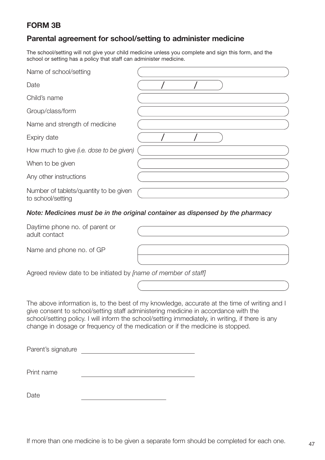## **FORM 3B**

## **Parental agreement for school/setting to administer medicine**

The school/setting will not give your child medicine unless you complete and sign this form, and the school or setting has a policy that staff can administer medicine.

| Name of school/setting                                      |  |  |  |
|-------------------------------------------------------------|--|--|--|
| Date                                                        |  |  |  |
| Child's name                                                |  |  |  |
| Group/class/form                                            |  |  |  |
| Name and strength of medicine                               |  |  |  |
| Expiry date                                                 |  |  |  |
| How much to give (i.e. dose to be given)                    |  |  |  |
| When to be given                                            |  |  |  |
| Any other instructions                                      |  |  |  |
| Number of tablets/quantity to be given<br>to school/setting |  |  |  |

#### *Note: Medicines must be in the original container as dispensed by the pharmacy*

| Daytime phone no. of parent or<br>adult contact |  |
|-------------------------------------------------|--|
| Name and phone no. of GP                        |  |

Agreed review date to be initiated by *[name of member of staff]*

The above information is, to the best of my knowledge, accurate at the time of writing and I give consent to school/setting staff administering medicine in accordance with the school/setting policy. I will inform the school/setting immediately, in writing, if there is any change in dosage or frequency of the medication or if the medicine is stopped.

| Parent's signature |  |
|--------------------|--|
| Print name         |  |
| Date               |  |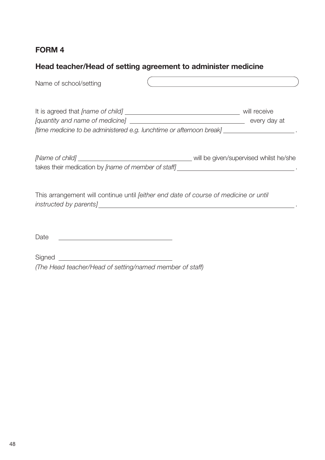# **Head teacher/Head of setting agreement to administer medicine**

| Name of school/setting | <u> 1989 - Johann Barbara, martxa alemaniar a</u>                                                              |
|------------------------|----------------------------------------------------------------------------------------------------------------|
|                        | will receive<br>[time medicine to be administered e.g. lunchtime or afternoon break] ________________________. |
|                        |                                                                                                                |
|                        | This arrangement will continue until <i>feither end date of course of medicine or until</i>                    |
| Date                   |                                                                                                                |

Signed *(The Head teacher/Head of setting/named member of staff)*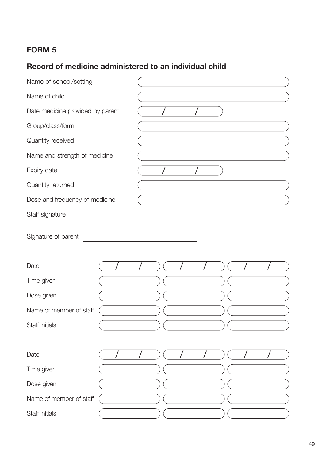# **Record of medicine administered to an individual child**

| Name of school/setting           |  |  |  |  |  |  |  |
|----------------------------------|--|--|--|--|--|--|--|
| Name of child                    |  |  |  |  |  |  |  |
| Date medicine provided by parent |  |  |  |  |  |  |  |
| Group/class/form                 |  |  |  |  |  |  |  |
| Quantity received                |  |  |  |  |  |  |  |
| Name and strength of medicine    |  |  |  |  |  |  |  |
| Expiry date                      |  |  |  |  |  |  |  |
| Quantity returned                |  |  |  |  |  |  |  |
| Dose and frequency of medicine   |  |  |  |  |  |  |  |
| Staff signature                  |  |  |  |  |  |  |  |
| Signature of parent              |  |  |  |  |  |  |  |
| Date                             |  |  |  |  |  |  |  |
| Time given                       |  |  |  |  |  |  |  |
| Dose given                       |  |  |  |  |  |  |  |
| Name of member of staff          |  |  |  |  |  |  |  |
| Staff initials                   |  |  |  |  |  |  |  |
|                                  |  |  |  |  |  |  |  |
| Date                             |  |  |  |  |  |  |  |
| Time given                       |  |  |  |  |  |  |  |
| Dose given                       |  |  |  |  |  |  |  |
| Name of member of staff          |  |  |  |  |  |  |  |
|                                  |  |  |  |  |  |  |  |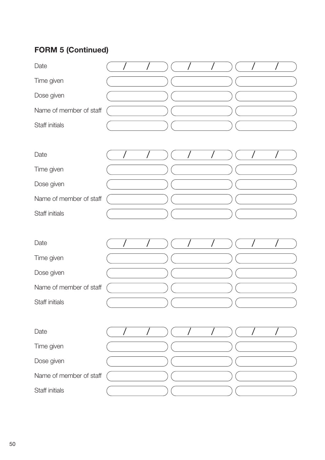# **FORM 5 (Continued)**

| Date                    |  |  |  |  |  |
|-------------------------|--|--|--|--|--|
| Time given              |  |  |  |  |  |
| Dose given              |  |  |  |  |  |
| Name of member of staff |  |  |  |  |  |
| Staff initials          |  |  |  |  |  |
| Date                    |  |  |  |  |  |
| Time given              |  |  |  |  |  |
| Dose given              |  |  |  |  |  |
| Name of member of staff |  |  |  |  |  |
| Staff initials          |  |  |  |  |  |
| Date                    |  |  |  |  |  |
| Time given              |  |  |  |  |  |
| Dose given              |  |  |  |  |  |
| Name of member of staff |  |  |  |  |  |
| Staff initials          |  |  |  |  |  |
| Date                    |  |  |  |  |  |
| Time given              |  |  |  |  |  |
| Dose given              |  |  |  |  |  |
| Name of member of staff |  |  |  |  |  |
| Staff initials          |  |  |  |  |  |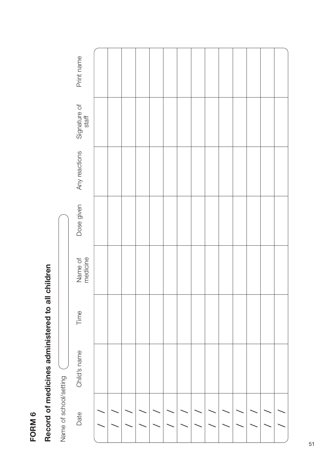# Record of medicines administered to all children **Record of medicines administered to all children**

|                        | Print name            |  |  |  |  |  |  |  |
|------------------------|-----------------------|--|--|--|--|--|--|--|
| Name of school/setting | Signature of<br>staff |  |  |  |  |  |  |  |
|                        | Any reactions         |  |  |  |  |  |  |  |
|                        | Dose given            |  |  |  |  |  |  |  |
|                        | Name of<br>medicine   |  |  |  |  |  |  |  |
|                        | Time                  |  |  |  |  |  |  |  |
|                        | Child's name          |  |  |  |  |  |  |  |
|                        | Date                  |  |  |  |  |  |  |  |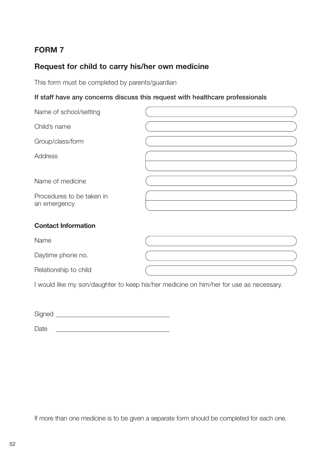# **Request for child to carry his/her own medicine**

This form must be completed by parents/guardian

#### **If staff have any concerns discuss this request with healthcare professionals**

| Name of school/setting                    |  |
|-------------------------------------------|--|
| Child's name                              |  |
| Group/class/form                          |  |
| Address                                   |  |
|                                           |  |
| Name of medicine                          |  |
| Procedures to be taken in<br>an emergency |  |
| <b>Contact Information</b>                |  |
| Name                                      |  |
| Daytime phone no.                         |  |
| Relationship to child                     |  |

I would like my son/daughter to keep his/her medicine on him/her for use as necessary.

Signed

Date <u>experience</u> and the contract of the contract of the contract of the contract of the contract of the contract of the contract of the contract of the contract of the contract of the contract of the contract of the cont

If more than one medicine is to be given a separate form should be completed for each one.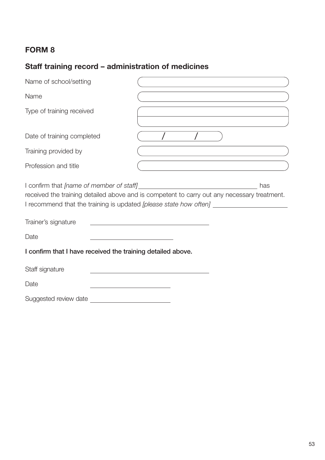# **Staff training record – administration of medicines**

| Name of school/setting                                      | the control of the control of the control of the control of the control of                                                                                          |
|-------------------------------------------------------------|---------------------------------------------------------------------------------------------------------------------------------------------------------------------|
| Name                                                        | the control of the control of the control of the control of the control of the control of                                                                           |
| Type of training received                                   | the control of the control of the control of the control of the control of the control of                                                                           |
| Date of training completed                                  |                                                                                                                                                                     |
| Training provided by                                        |                                                                                                                                                                     |
| Profession and title                                        | the control of the control of the control of the control of the control of                                                                                          |
| Trainer's signature                                         | has<br>received the training detailed above and is competent to carry out any necessary treatment.<br><u> 1989 - Johann Barn, fransk politik fotograf (d. 1989)</u> |
| Date                                                        | <u> 1980 - Johann Barn, mars an t-Amerikaansk ferske område og de formanne</u>                                                                                      |
| I confirm that I have received the training detailed above. |                                                                                                                                                                     |
| Staff signature                                             |                                                                                                                                                                     |
| Date                                                        |                                                                                                                                                                     |
| Suggested review date                                       |                                                                                                                                                                     |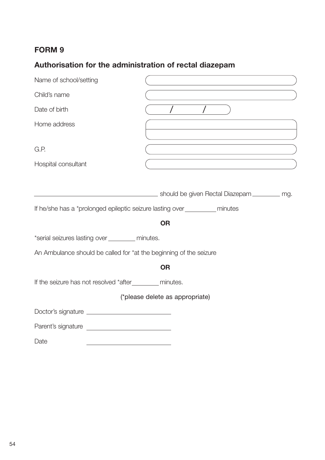# **Authorisation for the administration of rectal diazepam**

| Name of school/setting                                                                                                                                                                                 |                                 |
|--------------------------------------------------------------------------------------------------------------------------------------------------------------------------------------------------------|---------------------------------|
| Child's name                                                                                                                                                                                           |                                 |
| Date of birth                                                                                                                                                                                          |                                 |
| Home address                                                                                                                                                                                           |                                 |
| G.P.                                                                                                                                                                                                   |                                 |
| Hospital consultant                                                                                                                                                                                    |                                 |
| If he/she has a *prolonged epileptic seizure lasting over ___________ minutes<br>*serial seizures lasting over ________ minutes.<br>An Ambulance should be called for *at the beginning of the seizure | <b>OR</b>                       |
|                                                                                                                                                                                                        | <b>OR</b>                       |
| If the seizure has not resolved *after__________ minutes.                                                                                                                                              |                                 |
|                                                                                                                                                                                                        | (*please delete as appropriate) |
|                                                                                                                                                                                                        |                                 |
|                                                                                                                                                                                                        |                                 |
| Date                                                                                                                                                                                                   |                                 |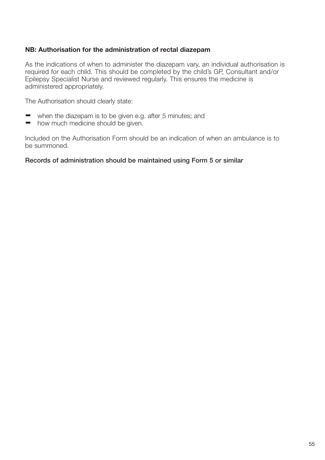#### **NB: Authorisation for the administration of rectal diazepam**

As the indications of when to administer the diazepam vary, an individual authorisation is required for each child. This should be completed by the child's GP, Consultant and/or Epilepsy Specialist Nurse and reviewed regularly. This ensures the medicine is administered appropriately.

The Authorisation should clearly state:

- when the diazepam is to be given e.g. after 5 minutes; and
- how much medicine should be given.  $\overline{\phantom{a}}$

Included on the Authorisation Form should be an indication of when an ambulance is to be summoned.

#### **Records of administration should be maintained using Form 5 or similar**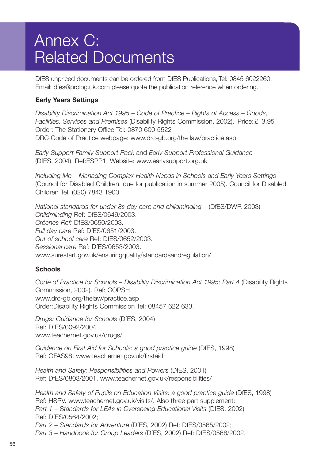# Annex C: Related Documents

DfES unpriced documents can be ordered from DfES Publications, Tel: 0845 6022260. Email: dfes@prolog.uk.com please quote the publication reference when ordering.

#### **Early Years Settings**

*Disability Discrimination Act 1995 – Code of Practice – Rights of Access – Goods, Facilities, Services and Premises* (Disability Rights Commission, 2002). Price:£13.95 Order: The Stationery Office Tel: 0870 600 5522 DRC Code of Practice webpage: www.drc-gb.org/the law/practice.asp

*Early Support Family Support Pack* and *Early Support Professional Guidance* (DfES, 2004). Ref:ESPP1. Website: www.earlysupport.org.uk

*Including Me – Managing Complex Health Needs in Schools and Early Years Settings* (Council for Disabled Children, due for publication in summer 2005). Council for Disabled Children Tel: (020) 7843 1900.

*National standards for under 8s day care and childminding* – (DfES/DWP, 2003) – *Childminding* Ref: DfES/0649/2003. *Créches Ref:* DfES/0650/2003. *Full day care* Ref: DfES/0651/2003. *Out of school care* Ref: DfES/0652/2003. *Sessional care* Ref: DfES/0653/2003. www.surestart.gov.uk/ensuringquality/standardsandregulation/

#### **Schools**

*Code of Practice for Schools – Disability Discrimination Act 1995: Part 4* (Disability Rights Commission, 2002). Ref: COPSH www.drc-gb.org/thelaw/practice.asp Order:Disability Rights Commission Tel: 08457 622 633.

*Drugs: Guidance for Schools* (DfES, 2004) Ref: DfES/0092/2004 www.teachernet.gov.uk/drugs/

*Guidance on First Aid for Schools: a good practice guide* (DfES, 1998) Ref: GFAS98. www.teachernet.gov.uk/firstaid

*Health and Safety: Responsibilities and Powers* (DfES, 2001) Ref: DfES/0803/2001. www.teachernet.gov.uk/responsibilities/

*Health and Safety of Pupils on Education Visits: a good practice guide* (DfES, 1998) Ref: HSPV. www.teachernet.gov.uk/visits/. Also three part supplement: *Part 1* – S*tandards for LEAs in Overseeing Educational Visits* (DfES, 2002) Ref: DfES/0564/2002; *Part 2 – Standards for Adventure* (DfES, 2002) Ref: DfES/0565/2002; *Part 3 – Handbook for Group Leaders* (DfES, 2002) Ref: DfES/0566/2002.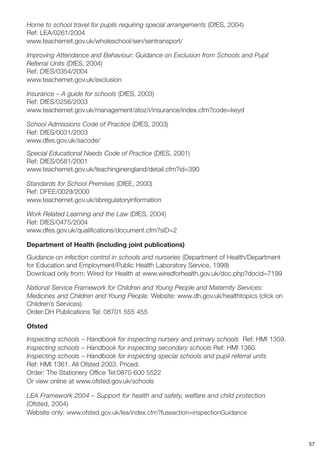*Home to school travel for pupils requiring special arrangements* (DfES, 2004) Ref: LEA/0261/2004 www.teachernet.gov.uk/wholeschool/sen/sentransport/

*Improving Attendance and Behaviour: Guidance on Exclusion from Schools and Pupil Referral Units* (DfES, 2004) Ref: DfES/0354/2004 www.teachernet.gov.uk/exclusion

*Insurance – A guide for schools* (DfES, 2003) Ref: DfES/0256/2003 www.teachernet.gov.uk/management/atoz/i/insurance/index.cfm?code=keyd

*School Admissions Code of Practice* (DfES, 2003) Ref: DfES/0031/2003 www.dfes.gov.uk/sacode/

*Special Educational Needs Code of Practice* (DfES, 2001) Ref: DfES/0581/2001 www.teachernet.gov.uk/teachinginengland/detail.cfm?id=390

*Standards for School Premises* (DfEE, 2000) Ref: DFEE/0029/2000 www.teachernet.gov.uk/sbregulatoryinformation

*Work Related Learning and the Law* (DfES, 2004) Ref: DfES/0475/2004 www.dfes.gov.uk/qualifications/document.cfm?sID=2

#### **Department of Health (including joint publications)**

*Guidance on infection control in schools and nurseries* (Department of Health/Department for Education and Employment/Public Health Laboratory Service, 1999) Download only from: Wired for Health at www.wiredforhealth.gov.uk/doc.php?docid=7199

*National Service Framework for Children and Young People and Maternity Services: Medicines and Children and Young People.* Website: www.dh.gov.uk/healthtopics (click on Children's Services). Order:DH Publications Tel: 08701 555 455

#### **Ofsted**

*Inspecting schools* – *Handbook for inspecting nursery and primary schools* Ref: HMI 1359. *Inspecting schools – Handbook for inspecting secondary schools* Ref: HMI 1360. *Inspecting schools – Handbook for inspecting special schools and pupil referral units*  Ref: HMI 1361. All Ofsted 2003. Priced. Order: The Stationery Office Tel:0870 600 5522 Or view online at www.ofsted.gov.uk/schools

*LEA Framework 2004 – Support for health and safety, welfare and child protection* (Ofsted, 2004)

Website only: www.ofsted.gov.uk/lea/index.cfm?fuseaction=inspectionGuidance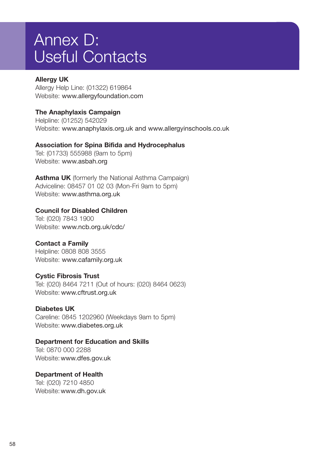# Annex D: Useful Contacts

#### **Allergy UK**

Allergy Help Line: (01322) 619864 Website: www.allergyfoundation.com

#### **The Anaphylaxis Campaign**

Helpline: (01252) 542029 Website: www.anaphylaxis.org.uk and www.allergyinschools.co.uk

#### **Association for Spina Bifida and Hydrocephalus**

Tel: (01733) 555988 (9am to 5pm) Website: www.asbah.org

**Asthma UK** (formerly the National Asthma Campaign) Adviceline: 08457 01 02 03 (Mon-Fri 9am to 5pm) Website: www.asthma.org.uk

#### **Council for Disabled Children**

Tel: (020) 7843 1900 Website: www.ncb.org.uk/cdc/

#### **Contact a Family**

Helpline: 0808 808 3555 Website: www.cafamily.org.uk

#### **Cystic Fibrosis Trust**

Tel: (020) 8464 7211 (Out of hours: (020) 8464 0623) Website: www.cftrust.org.uk

#### **Diabetes UK**

Careline: 0845 1202960 (Weekdays 9am to 5pm) Website: www.diabetes.org.uk

#### **Department for Education and Skills**

Tel: 0870 000 2288 Website:www.dfes.gov.uk

#### **Department of Health**

Tel: (020) 7210 4850 Website:www.dh.gov.uk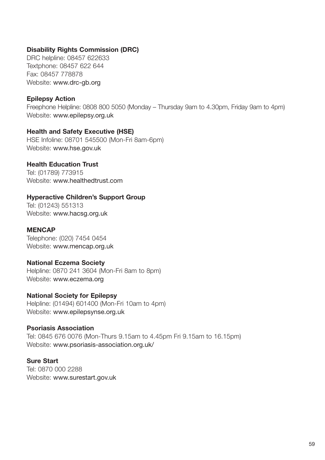#### **Disability Rights Commission (DRC)**

DRC helpline: 08457 622633 Textphone: 08457 622 644 Fax: 08457 778878 Website: www.drc-gb.org

#### **Epilepsy Action**

Freephone Helpline: 0808 800 5050 (Monday – Thursday 9am to 4.30pm, Friday 9am to 4pm) Website: www.epilepsy.org.uk

#### **Health and Safety Executive (HSE)**

HSE Infoline: 08701 545500 (Mon-Fri 8am-6pm) Website: www.hse.gov.uk

#### **Health Education Trust**

Tel: (01789) 773915 Website: www.healthedtrust.com

#### **Hyperactive Children's Support Group**

Tel: (01243) 551313 Website: www.hacsg.org.uk

#### **MENCAP**

Telephone: (020) 7454 0454 Website: www.mencap.org.uk

#### **National Eczema Society**

Helpline: 0870 241 3604 (Mon-Fri 8am to 8pm) Website: www.eczema.org

#### **National Society for Epilepsy**

Helpline: (01494) 601400 (Mon-Fri 10am to 4pm) Website: www.epilepsynse.org.uk

#### **Psoriasis Association**

Tel: 0845 676 0076 (Mon-Thurs 9.15am to 4.45pm Fri 9.15am to 16.15pm) Website: www.psoriasis-association.org.uk/

#### **Sure Start**

Tel: 0870 000 2288 Website: www.surestart.gov.uk